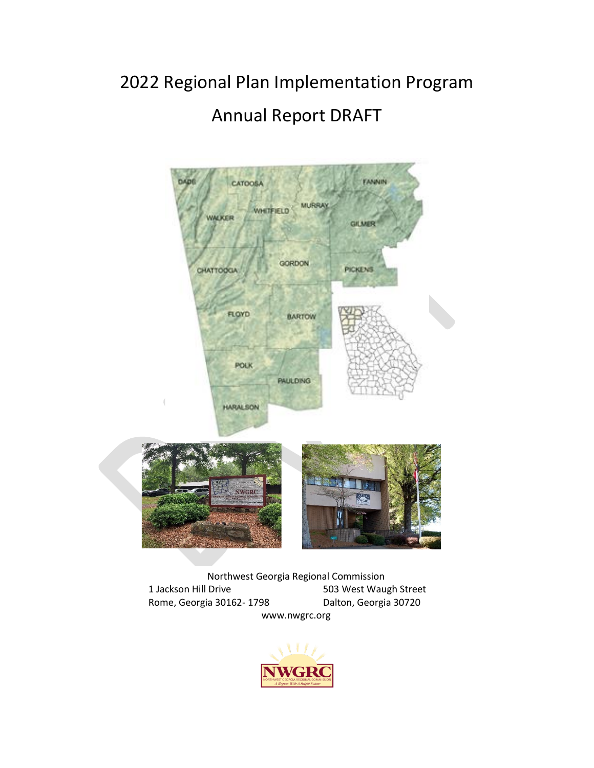# 2022 Regional Plan Implementation Program Annual Report DRAFT



Northwest Georgia Regional Commission 1 Jackson Hill Drive 503 West Waugh Street Rome, Georgia 30162-1798 Dalton, Georgia 30720 www.nwgrc.org

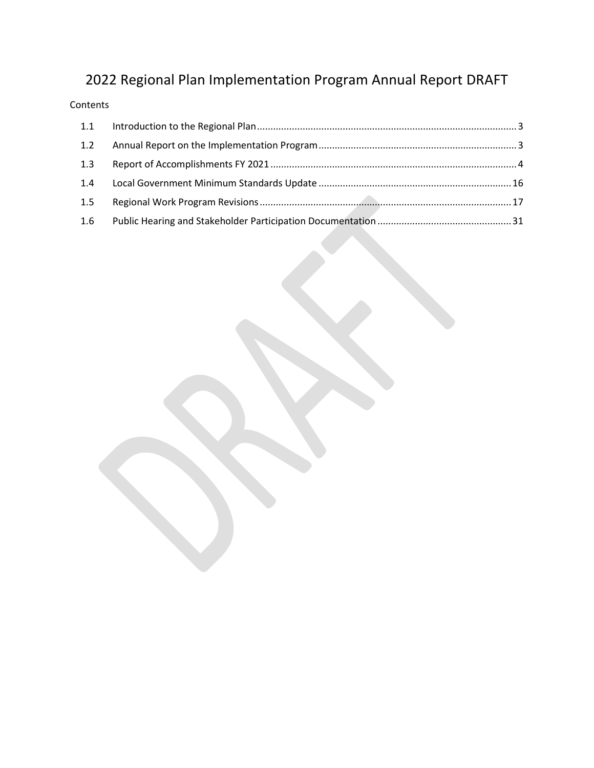## 2022 Regional Plan Implementation Program Annual Report DRAFT

#### Contents

| 1.2 |  |
|-----|--|
| 1.3 |  |
| 1.4 |  |
| 1.5 |  |
| 1.6 |  |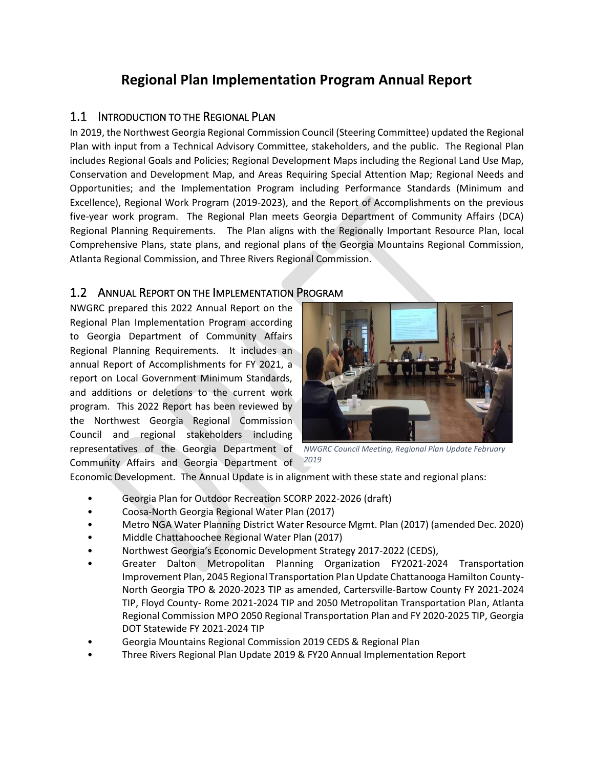### **Regional Plan Implementation Program Annual Report**

#### <span id="page-2-0"></span>1.1 INTRODUCTION TO THE REGIONAL PLAN

In 2019, the Northwest Georgia Regional Commission Council (Steering Committee) updated the Regional Plan with input from a Technical Advisory Committee, stakeholders, and the public. The Regional Plan includes Regional Goals and Policies; Regional Development Maps including the Regional Land Use Map, Conservation and Development Map, and Areas Requiring Special Attention Map; Regional Needs and Opportunities; and the Implementation Program including Performance Standards (Minimum and Excellence), Regional Work Program (2019-2023), and the Report of Accomplishments on the previous five-year work program. The Regional Plan meets Georgia Department of Community Affairs (DCA) Regional Planning Requirements. The Plan aligns with the Regionally Important Resource Plan, local Comprehensive Plans, state plans, and regional plans of the Georgia Mountains Regional Commission, Atlanta Regional Commission, and Three Rivers Regional Commission.

#### <span id="page-2-1"></span>1.2 ANNUAL REPORT ON THE IMPLEMENTATION PROGRAM

NWGRC prepared this 2022 Annual Report on the Regional Plan Implementation Program according to Georgia Department of Community Affairs Regional Planning Requirements. It includes an annual Report of Accomplishments for FY 2021, a report on Local Government Minimum Standards, and additions or deletions to the current work program. This 2022 Report has been reviewed by the Northwest Georgia Regional Commission Council and regional stakeholders including representatives of the Georgia Department of Community Affairs and Georgia Department of



*NWGRC Council Meeting, Regional Plan Update February 2019*

Economic Development. The Annual Update is in alignment with these state and regional plans:

- Georgia Plan for Outdoor Recreation SCORP 2022-2026 (draft)
- Coosa-North Georgia Regional Water Plan (2017)
- Metro NGA Water Planning District Water Resource Mgmt. Plan (2017) (amended Dec. 2020)
- Middle Chattahoochee Regional Water Plan (2017)
- Northwest Georgia's Economic Development Strategy 2017-2022 (CEDS),
- Greater Dalton Metropolitan Planning Organization FY2021-2024 Transportation Improvement Plan, 2045 Regional Transportation Plan Update Chattanooga Hamilton County-North Georgia TPO & 2020-2023 TIP as amended, Cartersville-Bartow County FY 2021-2024 TIP, Floyd County- Rome 2021-2024 TIP and 2050 Metropolitan Transportation Plan, Atlanta Regional Commission MPO 2050 Regional Transportation Plan and FY 2020-2025 TIP, Georgia DOT Statewide FY 2021-2024 TIP
- Georgia Mountains Regional Commission 2019 CEDS & Regional Plan
- Three Rivers Regional Plan Update 2019 & FY20 Annual Implementation Report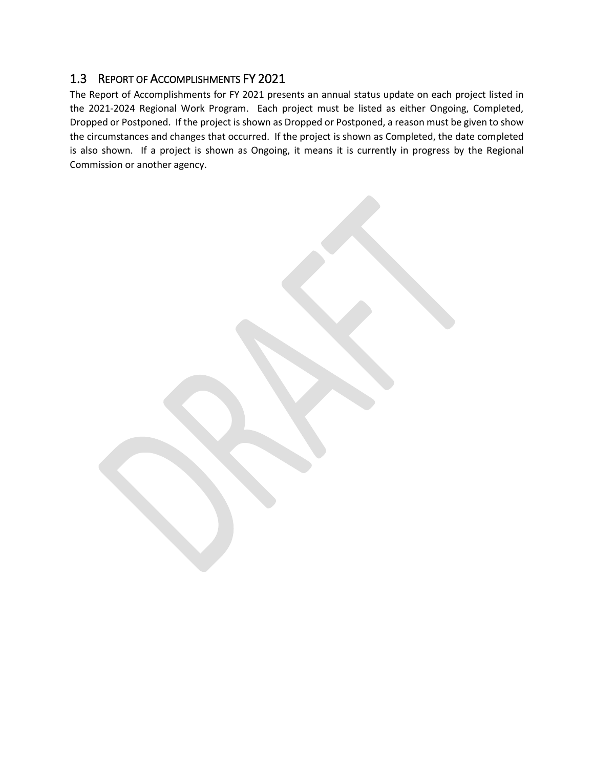#### <span id="page-3-0"></span>1.3 REPORT OF ACCOMPLISHMENTS FY 2021

The Report of Accomplishments for FY 2021 presents an annual status update on each project listed in the 2021-2024 Regional Work Program. Each project must be listed as either Ongoing, Completed, Dropped or Postponed. If the project is shown as Dropped or Postponed, a reason must be given to show the circumstances and changes that occurred. If the project is shown as Completed, the date completed is also shown. If a project is shown as Ongoing, it means it is currently in progress by the Regional Commission or another agency.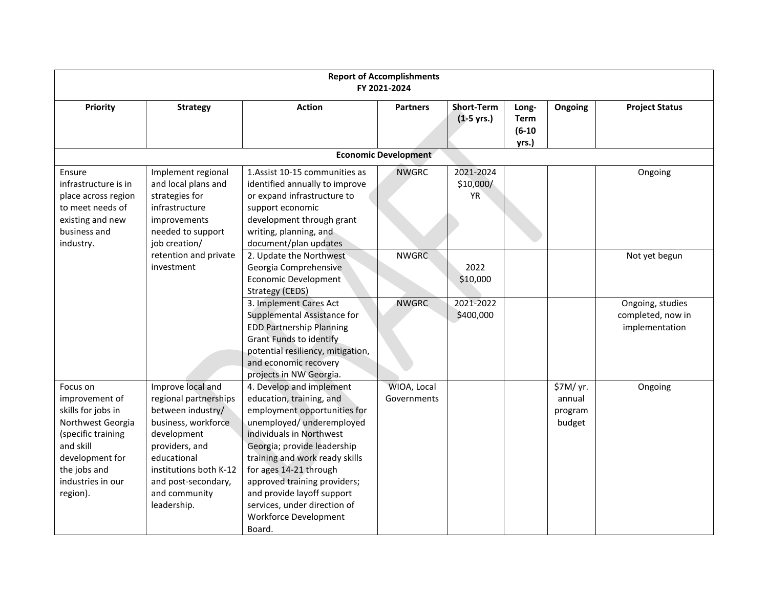| <b>Report of Accomplishments</b><br>FY 2021-2024                                                                                                                             |                                                                                                                                                                                                                         |                                                                                                                                                                                                                                                                                                                                                                           |                             |                                           |                                           |                                          |                                                         |  |  |
|------------------------------------------------------------------------------------------------------------------------------------------------------------------------------|-------------------------------------------------------------------------------------------------------------------------------------------------------------------------------------------------------------------------|---------------------------------------------------------------------------------------------------------------------------------------------------------------------------------------------------------------------------------------------------------------------------------------------------------------------------------------------------------------------------|-----------------------------|-------------------------------------------|-------------------------------------------|------------------------------------------|---------------------------------------------------------|--|--|
| Priority                                                                                                                                                                     | <b>Strategy</b>                                                                                                                                                                                                         | <b>Action</b>                                                                                                                                                                                                                                                                                                                                                             | <b>Partners</b>             | <b>Short-Term</b><br>$(1-5 \text{ yrs.})$ | Long-<br><b>Term</b><br>$(6-10)$<br>yrs.) | Ongoing                                  | <b>Project Status</b>                                   |  |  |
|                                                                                                                                                                              |                                                                                                                                                                                                                         |                                                                                                                                                                                                                                                                                                                                                                           | <b>Economic Development</b> |                                           |                                           |                                          |                                                         |  |  |
| Ensure<br>infrastructure is in<br>place across region<br>to meet needs of<br>existing and new<br>business and<br>industry.                                                   | Implement regional<br>and local plans and<br>strategies for<br>infrastructure<br>improvements<br>needed to support<br>job creation/                                                                                     | 1. Assist 10-15 communities as<br>identified annually to improve<br>or expand infrastructure to<br>support economic<br>development through grant<br>writing, planning, and<br>document/plan updates                                                                                                                                                                       | <b>NWGRC</b>                | 2021-2024<br>\$10,000/<br><b>YR</b>       |                                           |                                          | Ongoing                                                 |  |  |
|                                                                                                                                                                              | retention and private<br>investment                                                                                                                                                                                     | 2. Update the Northwest<br>Georgia Comprehensive<br><b>Economic Development</b><br>Strategy (CEDS)                                                                                                                                                                                                                                                                        | <b>NWGRC</b>                | 2022<br>\$10,000                          |                                           |                                          | Not yet begun                                           |  |  |
|                                                                                                                                                                              |                                                                                                                                                                                                                         | 3. Implement Cares Act<br>Supplemental Assistance for<br><b>EDD Partnership Planning</b><br><b>Grant Funds to identify</b><br>potential resiliency, mitigation,<br>and economic recovery<br>projects in NW Georgia.                                                                                                                                                       | <b>NWGRC</b>                | 2021-2022<br>\$400,000                    |                                           |                                          | Ongoing, studies<br>completed, now in<br>implementation |  |  |
| Focus on<br>improvement of<br>skills for jobs in<br>Northwest Georgia<br>(specific training<br>and skill<br>development for<br>the jobs and<br>industries in our<br>region). | Improve local and<br>regional partnerships<br>between industry/<br>business, workforce<br>development<br>providers, and<br>educational<br>institutions both K-12<br>and post-secondary,<br>and community<br>leadership. | 4. Develop and implement<br>education, training, and<br>employment opportunities for<br>unemployed/ underemployed<br>individuals in Northwest<br>Georgia; provide leadership<br>training and work ready skills<br>for ages 14-21 through<br>approved training providers;<br>and provide layoff support<br>services, under direction of<br>Workforce Development<br>Board. | WIOA, Local<br>Governments  |                                           |                                           | \$7M/ yr.<br>annual<br>program<br>budget | Ongoing                                                 |  |  |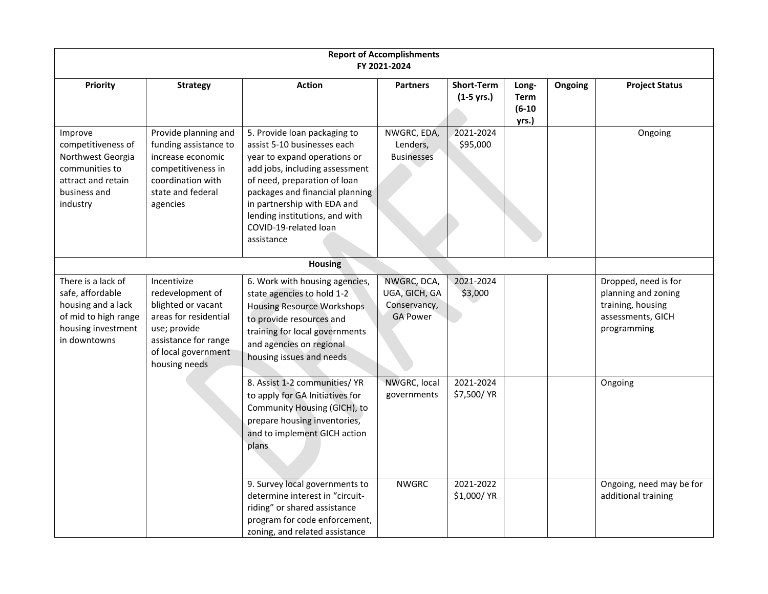| <b>Report of Accomplishments</b><br>FY 2021-2024                                                                           |                                                                                                                                                                |                                                                                                                                                                                                                                                                                                          |                                                                 |                                   |                                    |                |                                                                                                      |  |  |
|----------------------------------------------------------------------------------------------------------------------------|----------------------------------------------------------------------------------------------------------------------------------------------------------------|----------------------------------------------------------------------------------------------------------------------------------------------------------------------------------------------------------------------------------------------------------------------------------------------------------|-----------------------------------------------------------------|-----------------------------------|------------------------------------|----------------|------------------------------------------------------------------------------------------------------|--|--|
| Priority                                                                                                                   | <b>Strategy</b>                                                                                                                                                | <b>Action</b>                                                                                                                                                                                                                                                                                            | <b>Partners</b>                                                 | <b>Short-Term</b><br>$(1-5$ yrs.) | Long-<br>Term<br>$(6-10)$<br>yrs.) | <b>Ongoing</b> | <b>Project Status</b>                                                                                |  |  |
| Improve<br>competitiveness of<br>Northwest Georgia<br>communities to<br>attract and retain<br>business and<br>industry     | Provide planning and<br>funding assistance to<br>increase economic<br>competitiveness in<br>coordination with<br>state and federal<br>agencies                 | 5. Provide loan packaging to<br>assist 5-10 businesses each<br>year to expand operations or<br>add jobs, including assessment<br>of need, preparation of loan<br>packages and financial planning<br>in partnership with EDA and<br>lending institutions, and with<br>COVID-19-related loan<br>assistance | NWGRC, EDA,<br>Lenders,<br><b>Businesses</b>                    | 2021-2024<br>\$95,000             |                                    |                | Ongoing                                                                                              |  |  |
|                                                                                                                            |                                                                                                                                                                | <b>Housing</b>                                                                                                                                                                                                                                                                                           |                                                                 |                                   |                                    |                |                                                                                                      |  |  |
| There is a lack of<br>safe, affordable<br>housing and a lack<br>of mid to high range<br>housing investment<br>in downtowns | Incentivize<br>redevelopment of<br>blighted or vacant<br>areas for residential<br>use; provide<br>assistance for range<br>of local government<br>housing needs | 6. Work with housing agencies,<br>state agencies to hold 1-2<br><b>Housing Resource Workshops</b><br>to provide resources and<br>training for local governments<br>and agencies on regional<br>housing issues and needs                                                                                  | NWGRC, DCA,<br>UGA, GICH, GA<br>Conservancy,<br><b>GA Power</b> | 2021-2024<br>\$3,000              |                                    |                | Dropped, need is for<br>planning and zoning<br>training, housing<br>assessments, GICH<br>programming |  |  |
|                                                                                                                            |                                                                                                                                                                | 8. Assist 1-2 communities/ YR<br>to apply for GA Initiatives for<br>Community Housing (GICH), to<br>prepare housing inventories,<br>and to implement GICH action<br>plans                                                                                                                                | NWGRC, local<br>governments                                     | 2021-2024<br>\$7,500/ YR          |                                    |                | Ongoing                                                                                              |  |  |
|                                                                                                                            |                                                                                                                                                                | 9. Survey local governments to<br>determine interest in "circuit-<br>riding" or shared assistance<br>program for code enforcement,<br>zoning, and related assistance                                                                                                                                     | <b>NWGRC</b>                                                    | 2021-2022<br>\$1,000/ YR          |                                    |                | Ongoing, need may be for<br>additional training                                                      |  |  |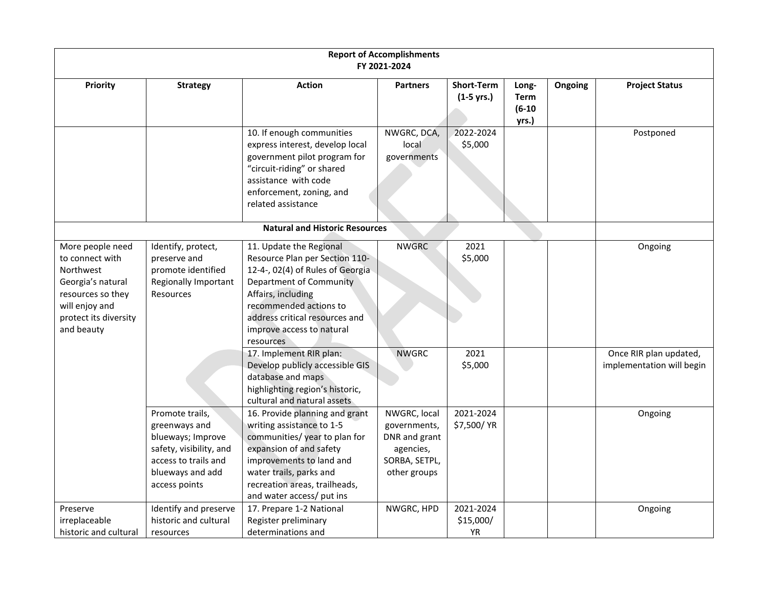|                                                                                                                                                     |                                                                                                                                               |                                                                                                                                                                                                                                                      | <b>Report of Accomplishments</b><br>FY 2021-2024                                            |                                     |                                           |         |                                                     |
|-----------------------------------------------------------------------------------------------------------------------------------------------------|-----------------------------------------------------------------------------------------------------------------------------------------------|------------------------------------------------------------------------------------------------------------------------------------------------------------------------------------------------------------------------------------------------------|---------------------------------------------------------------------------------------------|-------------------------------------|-------------------------------------------|---------|-----------------------------------------------------|
| Priority                                                                                                                                            | <b>Strategy</b>                                                                                                                               | <b>Action</b>                                                                                                                                                                                                                                        | <b>Partners</b>                                                                             | <b>Short-Term</b><br>$(1-5$ yrs.)   | Long-<br><b>Term</b><br>$(6-10)$<br>yrs.) | Ongoing | <b>Project Status</b>                               |
|                                                                                                                                                     |                                                                                                                                               | 10. If enough communities<br>express interest, develop local<br>government pilot program for<br>"circuit-riding" or shared<br>assistance with code<br>enforcement, zoning, and<br>related assistance                                                 | NWGRC, DCA,<br>local<br>governments                                                         | 2022-2024<br>\$5,000                |                                           |         | Postponed                                           |
|                                                                                                                                                     |                                                                                                                                               | <b>Natural and Historic Resources</b>                                                                                                                                                                                                                |                                                                                             |                                     |                                           |         |                                                     |
| More people need<br>to connect with<br>Northwest<br>Georgia's natural<br>resources so they<br>will enjoy and<br>protect its diversity<br>and beauty | Identify, protect,<br>preserve and<br>promote identified<br><b>Regionally Important</b><br><b>Resources</b>                                   | 11. Update the Regional<br>Resource Plan per Section 110-<br>12-4-, 02(4) of Rules of Georgia<br>Department of Community<br>Affairs, including<br>recommended actions to<br>address critical resources and<br>improve access to natural<br>resources | <b>NWGRC</b>                                                                                | 2021<br>\$5,000                     |                                           |         | Ongoing                                             |
|                                                                                                                                                     |                                                                                                                                               | 17. Implement RIR plan:<br>Develop publicly accessible GIS<br>database and maps<br>highlighting region's historic,<br>cultural and natural assets                                                                                                    | <b>NWGRC</b>                                                                                | 2021<br>\$5,000                     |                                           |         | Once RIR plan updated,<br>implementation will begin |
|                                                                                                                                                     | Promote trails,<br>greenways and<br>blueways; Improve<br>safety, visibility, and<br>access to trails and<br>blueways and add<br>access points | 16. Provide planning and grant<br>writing assistance to 1-5<br>communities/year to plan for<br>expansion of and safety<br>improvements to land and<br>water trails, parks and<br>recreation areas, trailheads,<br>and water access/ put ins          | NWGRC, local<br>governments,<br>DNR and grant<br>agencies,<br>SORBA, SETPL,<br>other groups | 2021-2024<br>\$7,500/ YR            |                                           |         | Ongoing                                             |
| Preserve<br>irreplaceable<br>historic and cultural                                                                                                  | Identify and preserve<br>historic and cultural<br>resources                                                                                   | 17. Prepare 1-2 National<br>Register preliminary<br>determinations and                                                                                                                                                                               | NWGRC, HPD                                                                                  | 2021-2024<br>\$15,000/<br><b>YR</b> |                                           |         | Ongoing                                             |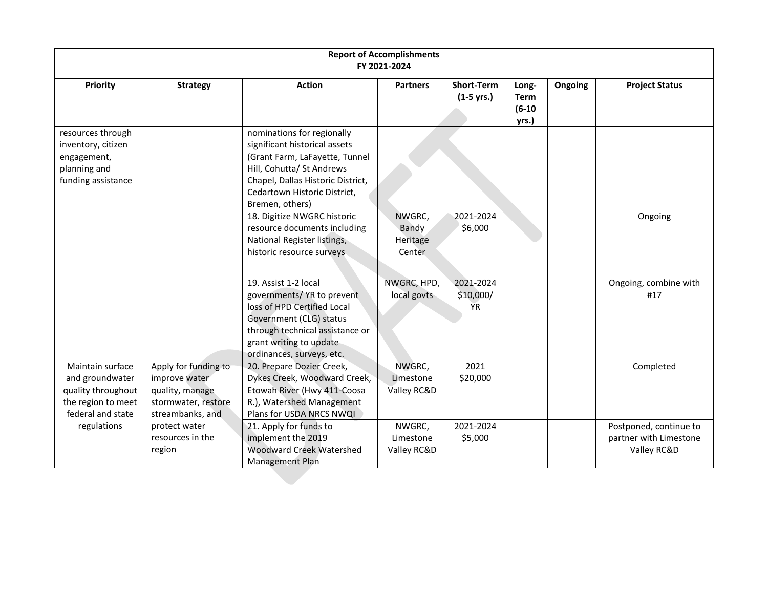| <b>Report of Accomplishments</b><br>FY 2021-2024                                                     |                                                                                                     |                                                                                                                                                                                                                    |                                       |                                     |                                    |         |                                                                 |  |  |
|------------------------------------------------------------------------------------------------------|-----------------------------------------------------------------------------------------------------|--------------------------------------------------------------------------------------------------------------------------------------------------------------------------------------------------------------------|---------------------------------------|-------------------------------------|------------------------------------|---------|-----------------------------------------------------------------|--|--|
| <b>Priority</b>                                                                                      | <b>Strategy</b>                                                                                     | <b>Action</b>                                                                                                                                                                                                      | <b>Partners</b>                       | <b>Short-Term</b><br>$(1-5$ yrs.)   | Long-<br>Term<br>$(6-10)$<br>yrs.) | Ongoing | <b>Project Status</b>                                           |  |  |
| resources through<br>inventory, citizen<br>engagement,<br>planning and<br>funding assistance         |                                                                                                     | nominations for regionally<br>significant historical assets<br>(Grant Farm, LaFayette, Tunnel<br>Hill, Cohutta/ St Andrews<br>Chapel, Dallas Historic District,<br>Cedartown Historic District,<br>Bremen, others) |                                       |                                     |                                    |         |                                                                 |  |  |
|                                                                                                      |                                                                                                     | 18. Digitize NWGRC historic<br>resource documents including<br>National Register listings,<br>historic resource surveys                                                                                            | NWGRC,<br>Bandy<br>Heritage<br>Center | 2021-2024<br>\$6,000                |                                    |         | Ongoing                                                         |  |  |
|                                                                                                      |                                                                                                     | 19. Assist 1-2 local<br>governments/ YR to prevent<br>loss of HPD Certified Local<br>Government (CLG) status<br>through technical assistance or<br>grant writing to update<br>ordinances, surveys, etc.            | NWGRC, HPD,<br>local govts            | 2021-2024<br>\$10,000/<br><b>YR</b> |                                    |         | Ongoing, combine with<br>#17                                    |  |  |
| Maintain surface<br>and groundwater<br>quality throughout<br>the region to meet<br>federal and state | Apply for funding to<br>improve water<br>quality, manage<br>stormwater, restore<br>streambanks, and | 20. Prepare Dozier Creek,<br>Dykes Creek, Woodward Creek,<br>Etowah River (Hwy 411-Coosa<br>R.), Watershed Management<br>Plans for USDA NRCS NWQI                                                                  | NWGRC,<br>Limestone<br>Valley RC&D    | 2021<br>\$20,000                    |                                    |         | Completed                                                       |  |  |
| regulations                                                                                          | protect water<br>resources in the<br>region                                                         | 21. Apply for funds to<br>implement the 2019<br><b>Woodward Creek Watershed</b><br>Management Plan                                                                                                                 | NWGRC,<br>Limestone<br>Valley RC&D    | 2021-2024<br>\$5,000                |                                    |         | Postponed, continue to<br>partner with Limestone<br>Valley RC&D |  |  |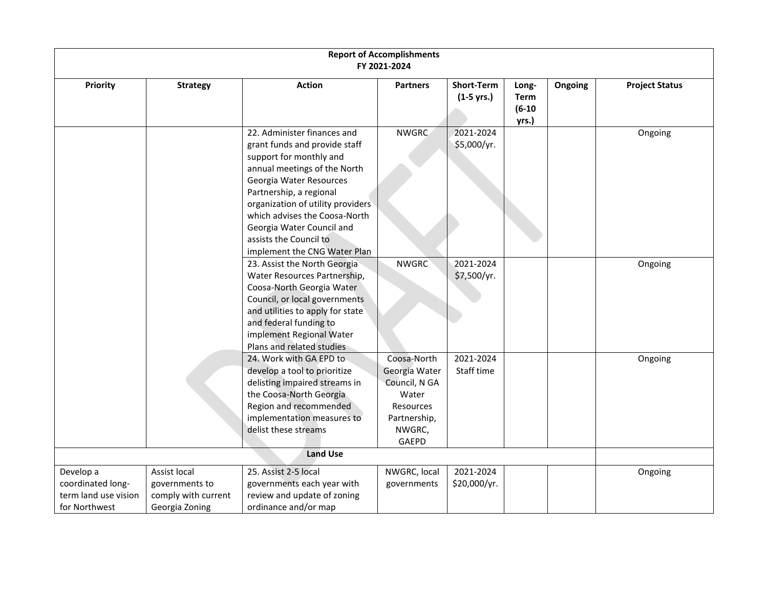|                                                                         |                                                                         |                                                                                                                                                                                                                                                                                                                                            | <b>Report of Accomplishments</b><br>FY 2021-2024                                                              |                                           |                                           |         |                       |
|-------------------------------------------------------------------------|-------------------------------------------------------------------------|--------------------------------------------------------------------------------------------------------------------------------------------------------------------------------------------------------------------------------------------------------------------------------------------------------------------------------------------|---------------------------------------------------------------------------------------------------------------|-------------------------------------------|-------------------------------------------|---------|-----------------------|
| Priority                                                                | <b>Strategy</b>                                                         | <b>Action</b>                                                                                                                                                                                                                                                                                                                              | <b>Partners</b>                                                                                               | <b>Short-Term</b><br>$(1-5 \text{ yrs.})$ | Long-<br><b>Term</b><br>$(6-10)$<br>yrs.) | Ongoing | <b>Project Status</b> |
|                                                                         |                                                                         | 22. Administer finances and<br>grant funds and provide staff<br>support for monthly and<br>annual meetings of the North<br>Georgia Water Resources<br>Partnership, a regional<br>organization of utility providers<br>which advises the Coosa-North<br>Georgia Water Council and<br>assists the Council to<br>implement the CNG Water Plan | <b>NWGRC</b>                                                                                                  | 2021-2024<br>\$5,000/yr.                  |                                           |         | Ongoing               |
|                                                                         |                                                                         | 23. Assist the North Georgia<br>Water Resources Partnership,<br>Coosa-North Georgia Water<br>Council, or local governments<br>and utilities to apply for state<br>and federal funding to<br>implement Regional Water<br>Plans and related studies                                                                                          | <b>NWGRC</b>                                                                                                  | 2021-2024<br>\$7,500/yr.                  |                                           |         | Ongoing               |
|                                                                         |                                                                         | 24. Work with GA EPD to<br>develop a tool to prioritize<br>delisting impaired streams in<br>the Coosa-North Georgia<br>Region and recommended<br>implementation measures to<br>delist these streams                                                                                                                                        | Coosa-North<br>Georgia Water<br>Council, N GA<br>Water<br><b>Resources</b><br>Partnership,<br>NWGRC,<br>GAEPD | 2021-2024<br>Staff time                   |                                           |         | Ongoing               |
|                                                                         |                                                                         | <b>Land Use</b>                                                                                                                                                                                                                                                                                                                            |                                                                                                               |                                           |                                           |         |                       |
| Develop a<br>coordinated long-<br>term land use vision<br>for Northwest | Assist local<br>governments to<br>comply with current<br>Georgia Zoning | 25. Assist 2-5 local<br>governments each year with<br>review and update of zoning<br>ordinance and/or map                                                                                                                                                                                                                                  | NWGRC, local<br>governments                                                                                   | 2021-2024<br>\$20,000/yr.                 |                                           |         | Ongoing               |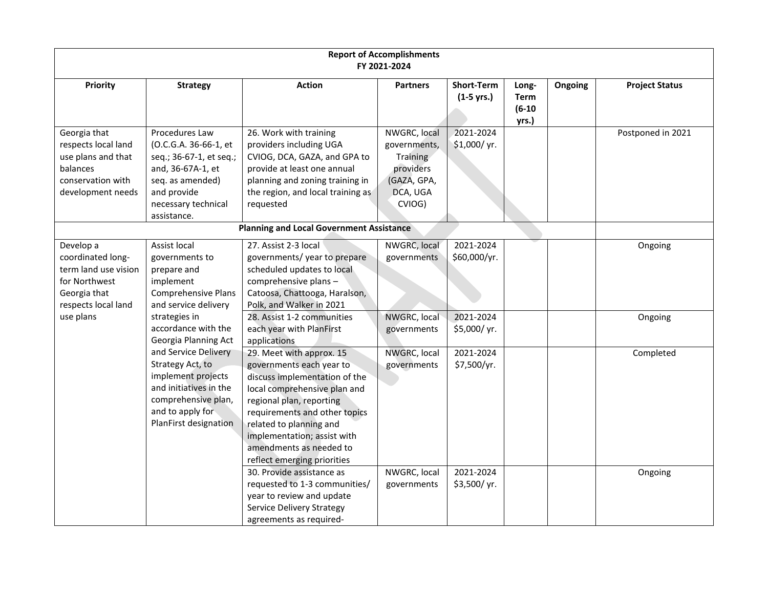| <b>Report of Accomplishments</b><br>FY 2021-2024                                                                |                                                                                                                                                                  |                                                                                                                                                                                                                                                                                                        |                                                                                            |                                           |                                           |         |                       |  |  |
|-----------------------------------------------------------------------------------------------------------------|------------------------------------------------------------------------------------------------------------------------------------------------------------------|--------------------------------------------------------------------------------------------------------------------------------------------------------------------------------------------------------------------------------------------------------------------------------------------------------|--------------------------------------------------------------------------------------------|-------------------------------------------|-------------------------------------------|---------|-----------------------|--|--|
| Priority                                                                                                        | <b>Strategy</b>                                                                                                                                                  | <b>Action</b>                                                                                                                                                                                                                                                                                          | <b>Partners</b>                                                                            | <b>Short-Term</b><br>$(1-5 \text{ yrs.})$ | Long-<br><b>Term</b><br>$(6-10)$<br>yrs.) | Ongoing | <b>Project Status</b> |  |  |
| Georgia that<br>respects local land<br>use plans and that<br>balances<br>conservation with<br>development needs | Procedures Law<br>(O.C.G.A. 36-66-1, et<br>seq.; 36-67-1, et seq.;<br>and, 36-67A-1, et<br>seq. as amended)<br>and provide<br>necessary technical<br>assistance. | 26. Work with training<br>providers including UGA<br>CVIOG, DCA, GAZA, and GPA to<br>provide at least one annual<br>planning and zoning training in<br>the region, and local training as<br>requested                                                                                                  | NWGRC, local<br>governments,<br>Training<br>providers<br>(GAZA, GPA,<br>DCA, UGA<br>CVIOG) | 2021-2024<br>\$1,000/yr.                  |                                           |         | Postponed in 2021     |  |  |
|                                                                                                                 |                                                                                                                                                                  | <b>Planning and Local Government Assistance</b>                                                                                                                                                                                                                                                        |                                                                                            |                                           |                                           |         |                       |  |  |
| Develop a<br>coordinated long-<br>term land use vision<br>for Northwest<br>Georgia that<br>respects local land  | Assist local<br>governments to<br>prepare and<br>implement<br><b>Comprehensive Plans</b><br>and service delivery                                                 | 27. Assist 2-3 local<br>governments/year to prepare<br>scheduled updates to local<br>comprehensive plans-<br>Catoosa, Chattooga, Haralson,<br>Polk, and Walker in 2021                                                                                                                                 | NWGRC, local<br>governments                                                                | 2021-2024<br>\$60,000/yr.                 |                                           |         | Ongoing               |  |  |
| use plans                                                                                                       | strategies in<br>accordance with the<br>Georgia Planning Act                                                                                                     | 28. Assist 1-2 communities<br>each year with PlanFirst<br>applications                                                                                                                                                                                                                                 | NWGRC, local<br>governments                                                                | 2021-2024<br>\$5,000/yr.                  |                                           |         | Ongoing               |  |  |
|                                                                                                                 | and Service Delivery<br>Strategy Act, to<br>implement projects<br>and initiatives in the<br>comprehensive plan,<br>and to apply for<br>PlanFirst designation     | 29. Meet with approx. 15<br>governments each year to<br>discuss implementation of the<br>local comprehensive plan and<br>regional plan, reporting<br>requirements and other topics<br>related to planning and<br>implementation; assist with<br>amendments as needed to<br>reflect emerging priorities | NWGRC, local<br>governments                                                                | 2021-2024<br>\$7,500/yr.                  |                                           |         | Completed             |  |  |
|                                                                                                                 |                                                                                                                                                                  | 30. Provide assistance as<br>requested to 1-3 communities/<br>year to review and update<br><b>Service Delivery Strategy</b><br>agreements as required-                                                                                                                                                 | NWGRC, local<br>governments                                                                | 2021-2024<br>\$3,500/yr.                  |                                           |         | Ongoing               |  |  |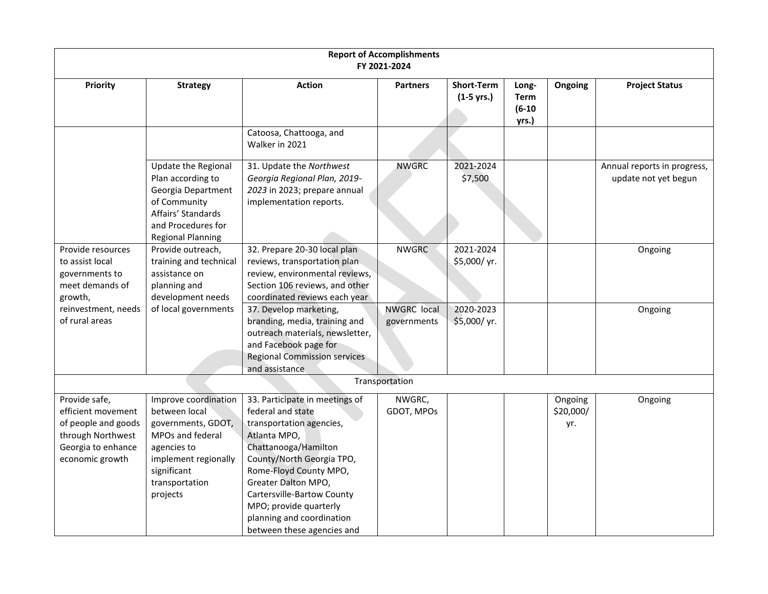| <b>Report of Accomplishments</b><br>FY 2021-2024                                                                         |                                                                                                                                                                     |                                                                                                                                                                                                                                                                                                                          |                                   |                                   |                                           |                             |                                                     |  |  |  |
|--------------------------------------------------------------------------------------------------------------------------|---------------------------------------------------------------------------------------------------------------------------------------------------------------------|--------------------------------------------------------------------------------------------------------------------------------------------------------------------------------------------------------------------------------------------------------------------------------------------------------------------------|-----------------------------------|-----------------------------------|-------------------------------------------|-----------------------------|-----------------------------------------------------|--|--|--|
| Priority                                                                                                                 | <b>Strategy</b>                                                                                                                                                     | <b>Action</b>                                                                                                                                                                                                                                                                                                            | <b>Partners</b>                   | <b>Short-Term</b><br>$(1-5$ yrs.) | Long-<br><b>Term</b><br>$(6-10)$<br>yrs.) | Ongoing                     | <b>Project Status</b>                               |  |  |  |
|                                                                                                                          |                                                                                                                                                                     | Catoosa, Chattooga, and<br>Walker in 2021                                                                                                                                                                                                                                                                                |                                   |                                   |                                           |                             |                                                     |  |  |  |
|                                                                                                                          | Update the Regional<br>Plan according to<br>Georgia Department<br>of Community<br>Affairs' Standards<br>and Procedures for<br><b>Regional Planning</b>              | 31. Update the Northwest<br>Georgia Regional Plan, 2019-<br>2023 in 2023; prepare annual<br>implementation reports.                                                                                                                                                                                                      | <b>NWGRC</b>                      | 2021-2024<br>\$7,500              |                                           |                             | Annual reports in progress,<br>update not yet begun |  |  |  |
| Provide resources<br>to assist local<br>governments to<br>meet demands of<br>growth,                                     | Provide outreach,<br>training and technical<br>assistance on<br>planning and<br>development needs                                                                   | 32. Prepare 20-30 local plan<br>reviews, transportation plan<br>review, environmental reviews,<br>Section 106 reviews, and other<br>coordinated reviews each year                                                                                                                                                        | <b>NWGRC</b>                      | 2021-2024<br>\$5,000/yr.          |                                           |                             | Ongoing                                             |  |  |  |
| reinvestment, needs<br>of rural areas                                                                                    | of local governments                                                                                                                                                | 37. Develop marketing,<br>branding, media, training and<br>outreach materials, newsletter,<br>and Facebook page for<br><b>Regional Commission services</b><br>and assistance                                                                                                                                             | <b>NWGRC</b> local<br>governments | 2020-2023<br>\$5,000/yr.          |                                           |                             | Ongoing                                             |  |  |  |
|                                                                                                                          |                                                                                                                                                                     |                                                                                                                                                                                                                                                                                                                          | Transportation                    |                                   |                                           |                             |                                                     |  |  |  |
| Provide safe,<br>efficient movement<br>of people and goods<br>through Northwest<br>Georgia to enhance<br>economic growth | Improve coordination<br>between local<br>governments, GDOT,<br>MPOs and federal<br>agencies to<br>implement regionally<br>significant<br>transportation<br>projects | 33. Participate in meetings of<br>federal and state<br>transportation agencies,<br>Atlanta MPO,<br>Chattanooga/Hamilton<br>County/North Georgia TPO,<br>Rome-Floyd County MPO,<br>Greater Dalton MPO,<br>Cartersville-Bartow County<br>MPO; provide quarterly<br>planning and coordination<br>between these agencies and | NWGRC,<br>GDOT, MPOs              |                                   |                                           | Ongoing<br>\$20,000/<br>yr. | Ongoing                                             |  |  |  |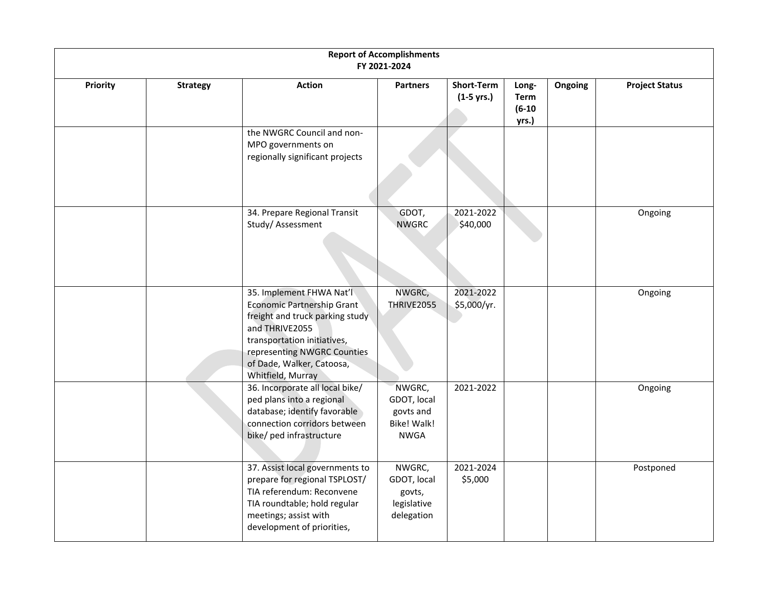|          |                 |                                                                                                                                                                                                                             | <b>Report of Accomplishments</b><br>FY 2021-2024                        |                            |                                    |         |                       |
|----------|-----------------|-----------------------------------------------------------------------------------------------------------------------------------------------------------------------------------------------------------------------------|-------------------------------------------------------------------------|----------------------------|------------------------------------|---------|-----------------------|
| Priority | <b>Strategy</b> | <b>Action</b>                                                                                                                                                                                                               | <b>Partners</b>                                                         | Short-Term<br>$(1-5$ yrs.) | Long-<br>Term<br>$(6-10)$<br>yrs.) | Ongoing | <b>Project Status</b> |
|          |                 | the NWGRC Council and non-<br>MPO governments on<br>regionally significant projects                                                                                                                                         |                                                                         |                            |                                    |         |                       |
|          |                 | 34. Prepare Regional Transit<br>Study/Assessment                                                                                                                                                                            | GDOT,<br><b>NWGRC</b>                                                   | 2021-2022<br>\$40,000      |                                    |         | Ongoing               |
|          |                 | 35. Implement FHWA Nat'l<br>Economic Partnership Grant<br>freight and truck parking study<br>and THRIVE2055<br>transportation initiatives,<br>representing NWGRC Counties<br>of Dade, Walker, Catoosa,<br>Whitfield, Murray | NWGRC,<br>THRIVE2055                                                    | 2021-2022<br>\$5,000/yr.   |                                    |         | Ongoing               |
|          |                 | 36. Incorporate all local bike/<br>ped plans into a regional<br>database; identify favorable<br>connection corridors between<br>bike/ ped infrastructure                                                                    | NWGRC,<br>GDOT, local<br>govts and<br><b>Bike! Walk!</b><br><b>NWGA</b> | 2021-2022                  |                                    |         | Ongoing               |
|          |                 | 37. Assist local governments to<br>prepare for regional TSPLOST/<br>TIA referendum: Reconvene<br>TIA roundtable; hold regular<br>meetings; assist with<br>development of priorities,                                        | NWGRC,<br>GDOT, local<br>govts,<br>legislative<br>delegation            | 2021-2024<br>\$5,000       |                                    |         | Postponed             |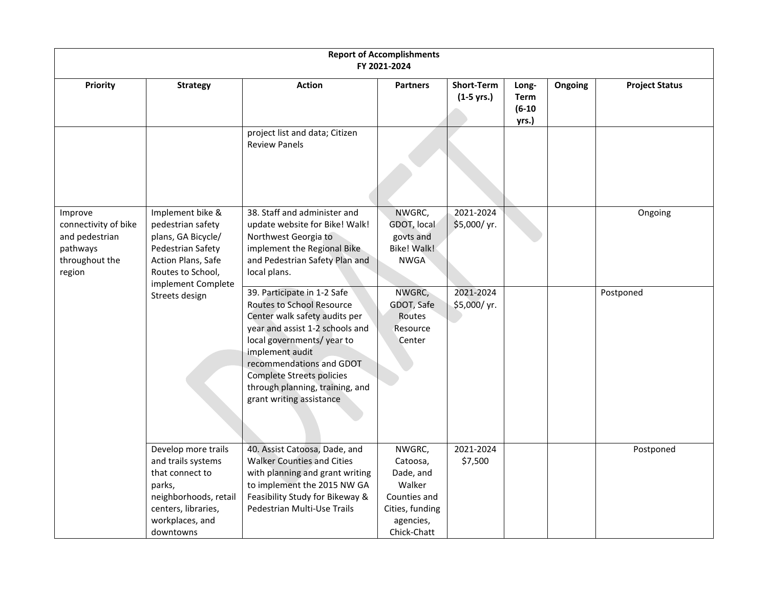|                                                                                           | <b>Report of Accomplishments</b><br>FY 2021-2024                                                                                                       |                                                                                                                                                                                                                                                                                                                    |                                                                                                          |                                   |                                           |         |                       |  |  |  |
|-------------------------------------------------------------------------------------------|--------------------------------------------------------------------------------------------------------------------------------------------------------|--------------------------------------------------------------------------------------------------------------------------------------------------------------------------------------------------------------------------------------------------------------------------------------------------------------------|----------------------------------------------------------------------------------------------------------|-----------------------------------|-------------------------------------------|---------|-----------------------|--|--|--|
| Priority                                                                                  | <b>Strategy</b>                                                                                                                                        | <b>Action</b>                                                                                                                                                                                                                                                                                                      | <b>Partners</b>                                                                                          | <b>Short-Term</b><br>$(1-5$ yrs.) | Long-<br><b>Term</b><br>$(6-10)$<br>yrs.) | Ongoing | <b>Project Status</b> |  |  |  |
|                                                                                           |                                                                                                                                                        | project list and data; Citizen<br><b>Review Panels</b>                                                                                                                                                                                                                                                             |                                                                                                          |                                   |                                           |         |                       |  |  |  |
| Improve<br>connectivity of bike<br>and pedestrian<br>pathways<br>throughout the<br>region | Implement bike &<br>pedestrian safety<br>plans, GA Bicycle/<br>Pedestrian Safety<br>Action Plans, Safe<br>Routes to School,<br>implement Complete      | 38. Staff and administer and<br>update website for Bike! Walk!<br>Northwest Georgia to<br>implement the Regional Bike<br>and Pedestrian Safety Plan and<br>local plans.                                                                                                                                            | NWGRC,<br>GDOT, local<br>govts and<br><b>Bike! Walk!</b><br><b>NWGA</b>                                  | 2021-2024<br>\$5,000/yr.          |                                           |         | Ongoing               |  |  |  |
|                                                                                           | Streets design                                                                                                                                         | 39. Participate in 1-2 Safe<br><b>Routes to School Resource</b><br>Center walk safety audits per<br>year and assist 1-2 schools and<br>local governments/year to<br>implement audit<br>recommendations and GDOT<br><b>Complete Streets policies</b><br>through planning, training, and<br>grant writing assistance | NWGRC,<br>GDOT, Safe<br>Routes<br>Resource<br>Center                                                     | 2021-2024<br>\$5,000/yr.          |                                           |         | Postponed             |  |  |  |
|                                                                                           | Develop more trails<br>and trails systems<br>that connect to<br>parks,<br>neighborhoods, retail<br>centers, libraries,<br>workplaces, and<br>downtowns | 40. Assist Catoosa, Dade, and<br><b>Walker Counties and Cities</b><br>with planning and grant writing<br>to implement the 2015 NW GA<br>Feasibility Study for Bikeway &<br>Pedestrian Multi-Use Trails                                                                                                             | NWGRC,<br>Catoosa,<br>Dade, and<br>Walker<br>Counties and<br>Cities, funding<br>agencies,<br>Chick-Chatt | 2021-2024<br>\$7,500              |                                           |         | Postponed             |  |  |  |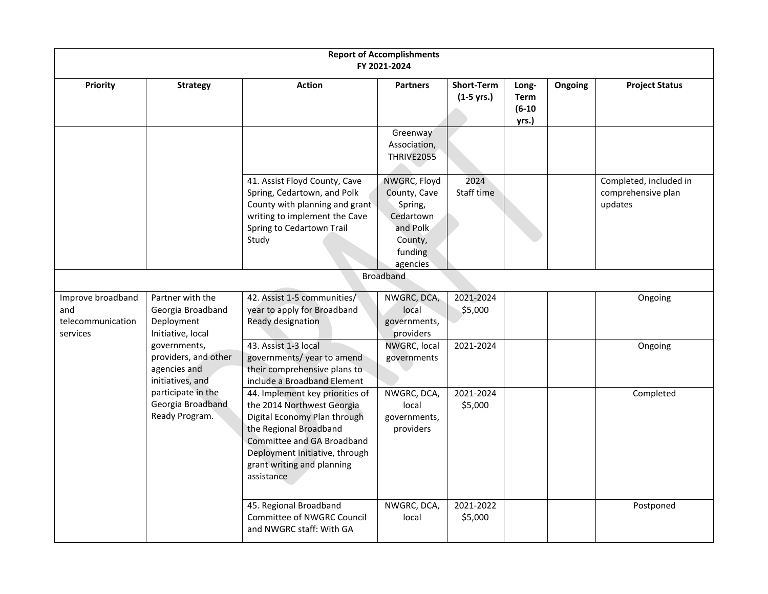|                                                           |                                                                          |                                                                                                                                                                                                                                     | <b>Report of Accomplishments</b><br>FY 2021-2024                                                   |                                           |                                           |         |                                                         |
|-----------------------------------------------------------|--------------------------------------------------------------------------|-------------------------------------------------------------------------------------------------------------------------------------------------------------------------------------------------------------------------------------|----------------------------------------------------------------------------------------------------|-------------------------------------------|-------------------------------------------|---------|---------------------------------------------------------|
| Priority                                                  | <b>Strategy</b>                                                          | <b>Action</b>                                                                                                                                                                                                                       | <b>Partners</b><br>Greenway                                                                        | <b>Short-Term</b><br>$(1-5 \text{ yrs.})$ | Long-<br><b>Term</b><br>$(6-10)$<br>yrs.) | Ongoing | <b>Project Status</b>                                   |
|                                                           |                                                                          |                                                                                                                                                                                                                                     | Association,<br>THRIVE2055                                                                         |                                           |                                           |         |                                                         |
|                                                           |                                                                          | 41. Assist Floyd County, Cave<br>Spring, Cedartown, and Polk<br>County with planning and grant<br>writing to implement the Cave<br>Spring to Cedartown Trail<br>Study                                                               | NWGRC, Floyd<br>County, Cave<br>Spring,<br>Cedartown<br>and Polk<br>County,<br>funding<br>agencies | 2024<br>Staff time                        |                                           |         | Completed, included in<br>comprehensive plan<br>updates |
|                                                           |                                                                          |                                                                                                                                                                                                                                     | <b>Broadband</b>                                                                                   |                                           |                                           |         |                                                         |
| Improve broadband<br>and<br>telecommunication<br>services | Partner with the<br>Georgia Broadband<br>Deployment<br>Initiative, local | 42. Assist 1-5 communities/<br>year to apply for Broadband<br>Ready designation                                                                                                                                                     | NWGRC, DCA,<br>local<br>governments,<br>providers                                                  | 2021-2024<br>\$5,000                      |                                           |         | Ongoing                                                 |
|                                                           | governments,<br>providers, and other<br>agencies and<br>initiatives, and | 43. Assist 1-3 local<br>governments/year to amend<br>their comprehensive plans to<br>include a Broadband Element                                                                                                                    | NWGRC, local<br>governments                                                                        | 2021-2024                                 |                                           |         | Ongoing                                                 |
|                                                           | participate in the<br>Georgia Broadband<br>Ready Program.                | 44. Implement key priorities of<br>the 2014 Northwest Georgia<br>Digital Economy Plan through<br>the Regional Broadband<br>Committee and GA Broadband<br>Deployment Initiative, through<br>grant writing and planning<br>assistance | NWGRC, DCA,<br>local<br>governments,<br>providers                                                  | 2021-2024<br>\$5,000                      |                                           |         | Completed                                               |
|                                                           |                                                                          | 45. Regional Broadband<br>Committee of NWGRC Council<br>and NWGRC staff: With GA                                                                                                                                                    | NWGRC, DCA,<br>local                                                                               | 2021-2022<br>\$5,000                      |                                           |         | Postponed                                               |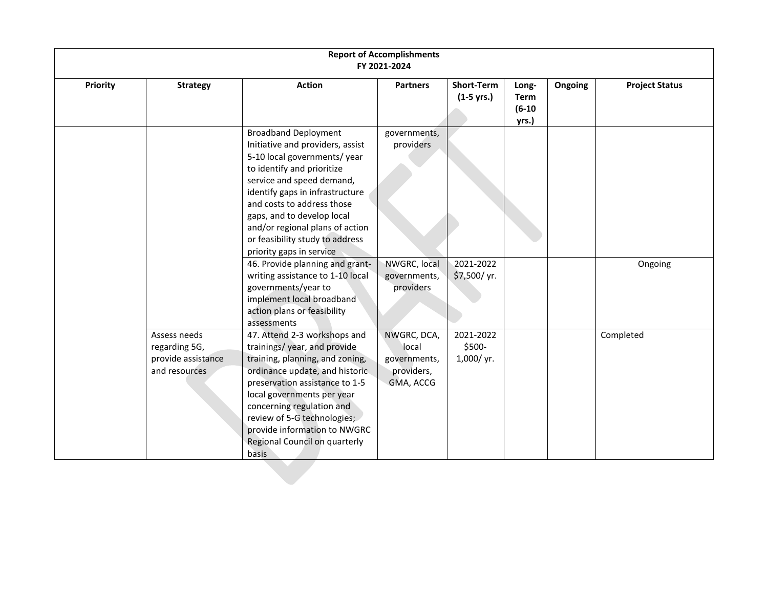|                 | <b>Report of Accomplishments</b><br>FY 2021-2024                     |                                                                                                                                                                                                                                                                                                                                                            |                                                                 |                                  |                                    |         |                       |  |  |  |
|-----------------|----------------------------------------------------------------------|------------------------------------------------------------------------------------------------------------------------------------------------------------------------------------------------------------------------------------------------------------------------------------------------------------------------------------------------------------|-----------------------------------------------------------------|----------------------------------|------------------------------------|---------|-----------------------|--|--|--|
| <b>Priority</b> | <b>Strategy</b>                                                      | <b>Action</b>                                                                                                                                                                                                                                                                                                                                              | <b>Partners</b>                                                 | Short-Term<br>$(1-5$ yrs.)       | Long-<br>Term<br>$(6-10)$<br>yrs.) | Ongoing | <b>Project Status</b> |  |  |  |
|                 |                                                                      | <b>Broadband Deployment</b><br>Initiative and providers, assist<br>5-10 local governments/year<br>to identify and prioritize<br>service and speed demand,<br>identify gaps in infrastructure<br>and costs to address those<br>gaps, and to develop local<br>and/or regional plans of action<br>or feasibility study to address<br>priority gaps in service | governments,<br>providers                                       |                                  |                                    |         |                       |  |  |  |
|                 |                                                                      | 46. Provide planning and grant-<br>writing assistance to 1-10 local<br>governments/year to<br>implement local broadband<br>action plans or feasibility<br>assessments                                                                                                                                                                                      | NWGRC, local<br>governments,<br>providers                       | 2021-2022<br>\$7,500/ yr.        |                                    |         | Ongoing               |  |  |  |
|                 | Assess needs<br>regarding 5G,<br>provide assistance<br>and resources | 47. Attend 2-3 workshops and<br>trainings/year, and provide<br>training, planning, and zoning,<br>ordinance update, and historic<br>preservation assistance to 1-5<br>local governments per year<br>concerning regulation and<br>review of 5-G technologies;<br>provide information to NWGRC<br>Regional Council on quarterly<br>basis                     | NWGRC, DCA,<br>local<br>governments,<br>providers,<br>GMA, ACCG | 2021-2022<br>\$500-<br>1,000/yr. |                                    |         | Completed             |  |  |  |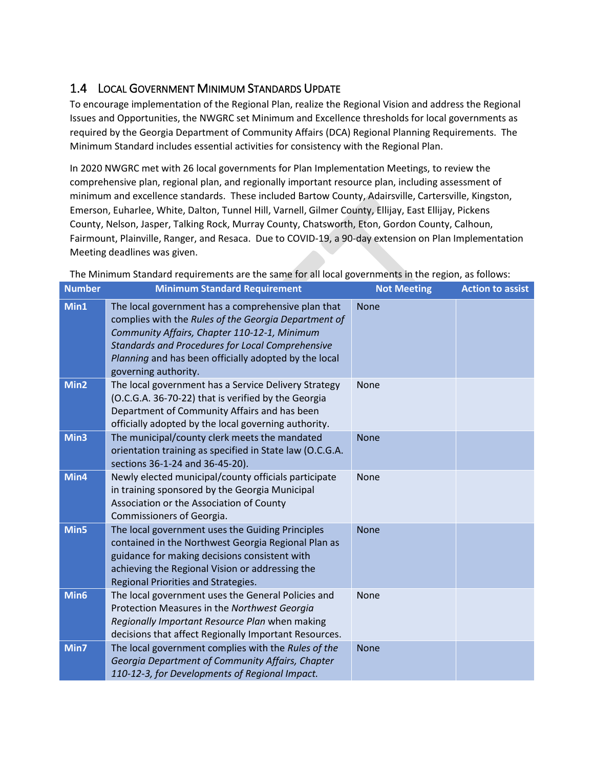#### <span id="page-15-0"></span>1.4 LOCAL GOVERNMENT MINIMUM STANDARDS UPDATE

To encourage implementation of the Regional Plan, realize the Regional Vision and address the Regional Issues and Opportunities, the NWGRC set Minimum and Excellence thresholds for local governments as required by the Georgia Department of Community Affairs (DCA) Regional Planning Requirements. The Minimum Standard includes essential activities for consistency with the Regional Plan.

In 2020 NWGRC met with 26 local governments for Plan Implementation Meetings, to review the comprehensive plan, regional plan, and regionally important resource plan, including assessment of minimum and excellence standards. These included Bartow County, Adairsville, Cartersville, Kingston, Emerson, Euharlee, White, Dalton, Tunnel Hill, Varnell, Gilmer County, Ellijay, East Ellijay, Pickens County, Nelson, Jasper, Talking Rock, Murray County, Chatsworth, Eton, Gordon County, Calhoun, Fairmount, Plainville, Ranger, and Resaca. Due to COVID-19, a 90-day extension on Plan Implementation Meeting deadlines was given.

| <b>Number</b>    | <b>Minimum Standard Requirement</b>                                                                                                                                                                                                                                                                    | <b>Not Meeting</b> | <b>Action to assist</b> |
|------------------|--------------------------------------------------------------------------------------------------------------------------------------------------------------------------------------------------------------------------------------------------------------------------------------------------------|--------------------|-------------------------|
| Min1             | The local government has a comprehensive plan that<br>complies with the Rules of the Georgia Department of<br>Community Affairs, Chapter 110-12-1, Minimum<br><b>Standards and Procedures for Local Comprehensive</b><br>Planning and has been officially adopted by the local<br>governing authority. | <b>None</b>        |                         |
| Min2             | The local government has a Service Delivery Strategy<br>(O.C.G.A. 36-70-22) that is verified by the Georgia<br>Department of Community Affairs and has been<br>officially adopted by the local governing authority.                                                                                    | None               |                         |
| Min3             | The municipal/county clerk meets the mandated<br>orientation training as specified in State law (O.C.G.A.<br>sections 36-1-24 and 36-45-20).                                                                                                                                                           | <b>None</b>        |                         |
| Min4             | Newly elected municipal/county officials participate<br>in training sponsored by the Georgia Municipal<br>Association or the Association of County<br>Commissioners of Georgia.                                                                                                                        | <b>None</b>        |                         |
| Min5             | The local government uses the Guiding Principles<br>contained in the Northwest Georgia Regional Plan as<br>guidance for making decisions consistent with<br>achieving the Regional Vision or addressing the<br>Regional Priorities and Strategies.                                                     | <b>None</b>        |                         |
| Min <sub>6</sub> | The local government uses the General Policies and<br>Protection Measures in the Northwest Georgia<br>Regionally Important Resource Plan when making<br>decisions that affect Regionally Important Resources.                                                                                          | None               |                         |
| Min7             | The local government complies with the Rules of the<br>Georgia Department of Community Affairs, Chapter<br>110-12-3, for Developments of Regional Impact.                                                                                                                                              | <b>None</b>        |                         |

The Minimum Standard requirements are the same for all local governments in the region, as follows: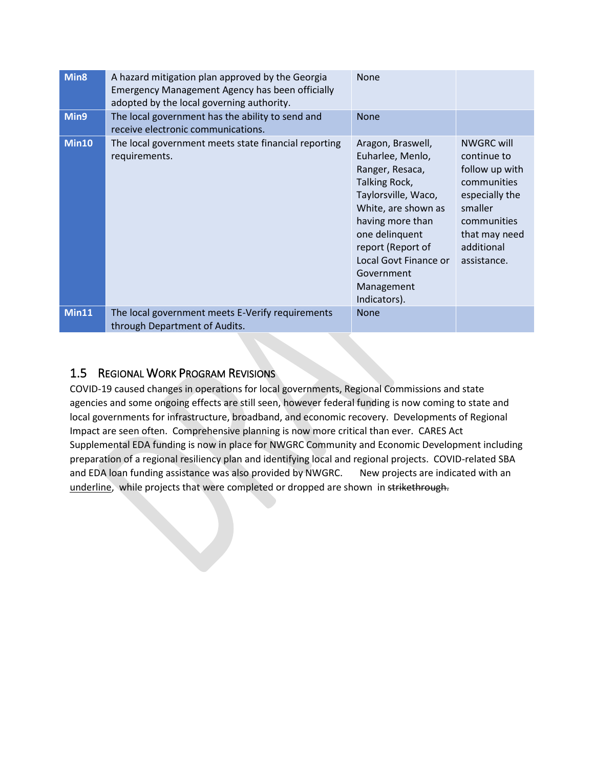| Min <sub>8</sub> | A hazard mitigation plan approved by the Georgia<br>Emergency Management Agency has been officially<br>adopted by the local governing authority. | <b>None</b>                                                                                                                                                                                                                                             |                                                                                                                                                             |
|------------------|--------------------------------------------------------------------------------------------------------------------------------------------------|---------------------------------------------------------------------------------------------------------------------------------------------------------------------------------------------------------------------------------------------------------|-------------------------------------------------------------------------------------------------------------------------------------------------------------|
| Min9             | The local government has the ability to send and<br>receive electronic communications.                                                           | <b>None</b>                                                                                                                                                                                                                                             |                                                                                                                                                             |
| <b>Min10</b>     | The local government meets state financial reporting<br>requirements.                                                                            | Aragon, Braswell,<br>Euharlee, Menlo,<br>Ranger, Resaca,<br>Talking Rock,<br>Taylorsville, Waco,<br>White, are shown as<br>having more than<br>one delinquent<br>report (Report of<br>Local Govt Finance or<br>Government<br>Management<br>Indicators). | <b>NWGRC will</b><br>continue to<br>follow up with<br>communities<br>especially the<br>smaller<br>communities<br>that may need<br>additional<br>assistance. |
| Min11            | The local government meets E-Verify requirements<br>through Department of Audits.                                                                | <b>None</b>                                                                                                                                                                                                                                             |                                                                                                                                                             |

#### <span id="page-16-0"></span>1.5 REGIONAL WORK PROGRAM REVISIONS

COVID-19 caused changes in operations for local governments, Regional Commissions and state agencies and some ongoing effects are still seen, however federal funding is now coming to state and local governments for infrastructure, broadband, and economic recovery. Developments of Regional Impact are seen often. Comprehensive planning is now more critical than ever. CARES Act Supplemental EDA funding is now in place for NWGRC Community and Economic Development including preparation of a regional resiliency plan and identifying local and regional projects. COVID-related SBA and EDA loan funding assistance was also provided by NWGRC. New projects are indicated with an underline, while projects that were completed or dropped are shown in strikethrough.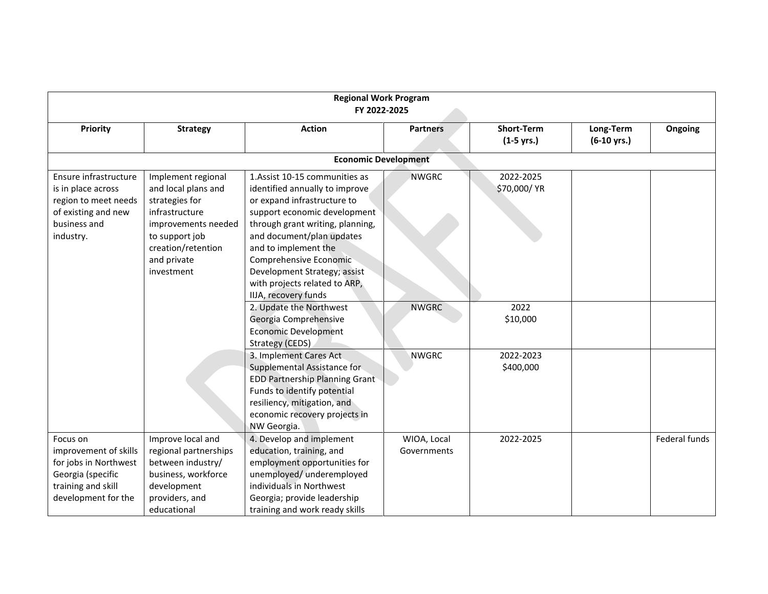| <b>Regional Work Program</b><br>FY 2022-2025                                                                                 |                                                                                                                                                                           |                                                                                                                                                                                                                                                                                                                                             |                            |                                   |                                    |               |
|------------------------------------------------------------------------------------------------------------------------------|---------------------------------------------------------------------------------------------------------------------------------------------------------------------------|---------------------------------------------------------------------------------------------------------------------------------------------------------------------------------------------------------------------------------------------------------------------------------------------------------------------------------------------|----------------------------|-----------------------------------|------------------------------------|---------------|
| Priority                                                                                                                     | <b>Strategy</b>                                                                                                                                                           | <b>Action</b>                                                                                                                                                                                                                                                                                                                               | <b>Partners</b>            | <b>Short-Term</b><br>$(1-5$ yrs.) | Long-Term<br>$(6-10 \text{ yrs.})$ | Ongoing       |
|                                                                                                                              |                                                                                                                                                                           | <b>Economic Development</b>                                                                                                                                                                                                                                                                                                                 |                            |                                   |                                    |               |
| Ensure infrastructure<br>is in place across<br>region to meet needs<br>of existing and new<br>business and<br>industry.      | Implement regional<br>and local plans and<br>strategies for<br>infrastructure<br>improvements needed<br>to support job<br>creation/retention<br>and private<br>investment | 1. Assist 10-15 communities as<br>identified annually to improve<br>or expand infrastructure to<br>support economic development<br>through grant writing, planning,<br>and document/plan updates<br>and to implement the<br>Comprehensive Economic<br>Development Strategy; assist<br>with projects related to ARP,<br>IIJA, recovery funds | <b>NWGRC</b>               | 2022-2025<br>\$70,000/ YR         |                                    |               |
|                                                                                                                              |                                                                                                                                                                           | 2. Update the Northwest<br>Georgia Comprehensive<br><b>Economic Development</b><br>Strategy (CEDS)                                                                                                                                                                                                                                          | <b>NWGRC</b>               | 2022<br>\$10,000                  |                                    |               |
|                                                                                                                              |                                                                                                                                                                           | 3. Implement Cares Act<br>Supplemental Assistance for<br><b>EDD Partnership Planning Grant</b><br>Funds to identify potential<br>resiliency, mitigation, and<br>economic recovery projects in<br>NW Georgia.                                                                                                                                | <b>NWGRC</b>               | 2022-2023<br>\$400,000            |                                    |               |
| Focus on<br>improvement of skills<br>for jobs in Northwest<br>Georgia (specific<br>training and skill<br>development for the | Improve local and<br>regional partnerships<br>between industry/<br>business, workforce<br>development<br>providers, and<br>educational                                    | 4. Develop and implement<br>education, training, and<br>employment opportunities for<br>unemployed/ underemployed<br>individuals in Northwest<br>Georgia; provide leadership<br>training and work ready skills                                                                                                                              | WIOA, Local<br>Governments | 2022-2025                         |                                    | Federal funds |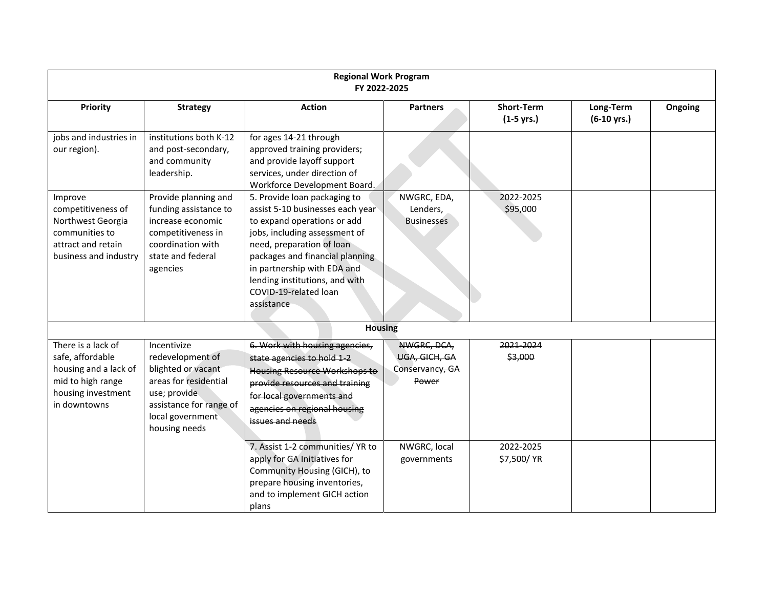|                                                                                                                            | <b>Regional Work Program</b><br>FY 2022-2025                                                                                                                    |                                                                                                                                                                                                                                                                                                          |                                                          |                                   |                                    |         |  |  |
|----------------------------------------------------------------------------------------------------------------------------|-----------------------------------------------------------------------------------------------------------------------------------------------------------------|----------------------------------------------------------------------------------------------------------------------------------------------------------------------------------------------------------------------------------------------------------------------------------------------------------|----------------------------------------------------------|-----------------------------------|------------------------------------|---------|--|--|
| Priority                                                                                                                   | <b>Strategy</b>                                                                                                                                                 | <b>Action</b>                                                                                                                                                                                                                                                                                            | <b>Partners</b>                                          | <b>Short-Term</b><br>$(1-5$ yrs.) | Long-Term<br>$(6-10 \text{ yrs.})$ | Ongoing |  |  |
| jobs and industries in<br>our region).                                                                                     | institutions both K-12<br>and post-secondary,<br>and community<br>leadership.                                                                                   | for ages 14-21 through<br>approved training providers;<br>and provide layoff support<br>services, under direction of<br>Workforce Development Board.                                                                                                                                                     |                                                          |                                   |                                    |         |  |  |
| Improve<br>competitiveness of<br>Northwest Georgia<br>communities to<br>attract and retain<br>business and industry        | Provide planning and<br>funding assistance to<br>increase economic<br>competitiveness in<br>coordination with<br>state and federal<br>agencies                  | 5. Provide loan packaging to<br>assist 5-10 businesses each year<br>to expand operations or add<br>jobs, including assessment of<br>need, preparation of loan<br>packages and financial planning<br>in partnership with EDA and<br>lending institutions, and with<br>COVID-19-related loan<br>assistance | NWGRC, EDA,<br>Lenders,<br><b>Businesses</b>             | 2022-2025<br>\$95,000             |                                    |         |  |  |
|                                                                                                                            |                                                                                                                                                                 | <b>Housing</b>                                                                                                                                                                                                                                                                                           |                                                          |                                   |                                    |         |  |  |
| There is a lack of<br>safe, affordable<br>housing and a lack of<br>mid to high range<br>housing investment<br>in downtowns | Incentivize<br>redevelopment of<br>blighted or vacant<br>areas for residential<br>use; provide.<br>assistance for range of<br>local government<br>housing needs | 6. Work with housing agencies,<br>state agencies to hold 1-2<br><b>Housing Resource Workshops to</b><br>provide resources and training<br>for local governments and<br>agencies on regional housing<br>issues and needs                                                                                  | NWGRC, DCA,<br>UGA, GICH, GA<br>Conservancy, GA<br>Power | 2021-2024<br>\$3,000              |                                    |         |  |  |
|                                                                                                                            |                                                                                                                                                                 | 7. Assist 1-2 communities/ YR to<br>apply for GA Initiatives for<br>Community Housing (GICH), to<br>prepare housing inventories,<br>and to implement GICH action<br>plans                                                                                                                                | NWGRC, local<br>governments                              | 2022-2025<br>\$7,500/ YR          |                                    |         |  |  |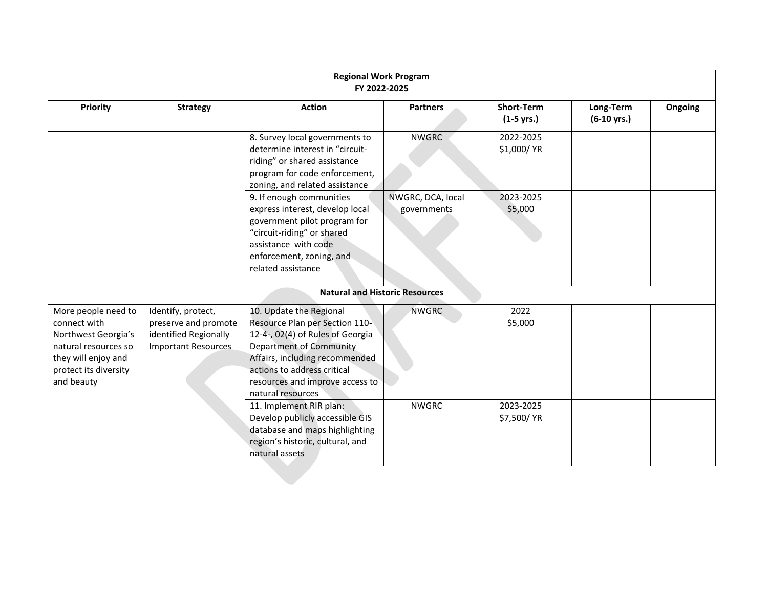| <b>Regional Work Program</b><br>FY 2022-2025                                                                                                     |                                                                                                   |                                                                                                                                                                                                                                                   |                                  |                                           |                                    |         |  |
|--------------------------------------------------------------------------------------------------------------------------------------------------|---------------------------------------------------------------------------------------------------|---------------------------------------------------------------------------------------------------------------------------------------------------------------------------------------------------------------------------------------------------|----------------------------------|-------------------------------------------|------------------------------------|---------|--|
| <b>Priority</b>                                                                                                                                  | <b>Strategy</b>                                                                                   | <b>Action</b>                                                                                                                                                                                                                                     | <b>Partners</b>                  | <b>Short-Term</b><br>$(1-5 \text{ yrs.})$ | Long-Term<br>$(6-10 \text{ yrs.})$ | Ongoing |  |
|                                                                                                                                                  |                                                                                                   | 8. Survey local governments to<br>determine interest in "circuit-<br>riding" or shared assistance<br>program for code enforcement,<br>zoning, and related assistance                                                                              | <b>NWGRC</b>                     | 2022-2025<br>\$1,000/ YR                  |                                    |         |  |
|                                                                                                                                                  |                                                                                                   | 9. If enough communities<br>express interest, develop local<br>government pilot program for<br>"circuit-riding" or shared<br>assistance with code<br>enforcement, zoning, and<br>related assistance                                               | NWGRC, DCA, local<br>governments | 2023-2025<br>\$5,000                      |                                    |         |  |
|                                                                                                                                                  |                                                                                                   | <b>Natural and Historic Resources</b>                                                                                                                                                                                                             |                                  |                                           |                                    |         |  |
| More people need to<br>connect with<br>Northwest Georgia's<br>natural resources so<br>they will enjoy and<br>protect its diversity<br>and beauty | Identify, protect,<br>preserve and promote<br>identified Regionally<br><b>Important Resources</b> | 10. Update the Regional<br>Resource Plan per Section 110-<br>12-4-, 02(4) of Rules of Georgia<br>Department of Community<br>Affairs, including recommended<br>actions to address critical<br>resources and improve access to<br>natural resources | <b>NWGRC</b>                     | 2022<br>\$5,000                           |                                    |         |  |
|                                                                                                                                                  |                                                                                                   | 11. Implement RIR plan:<br>Develop publicly accessible GIS<br>database and maps highlighting<br>region's historic, cultural, and<br>natural assets                                                                                                | <b>NWGRC</b>                     | 2023-2025<br>\$7,500/ YR                  |                                    |         |  |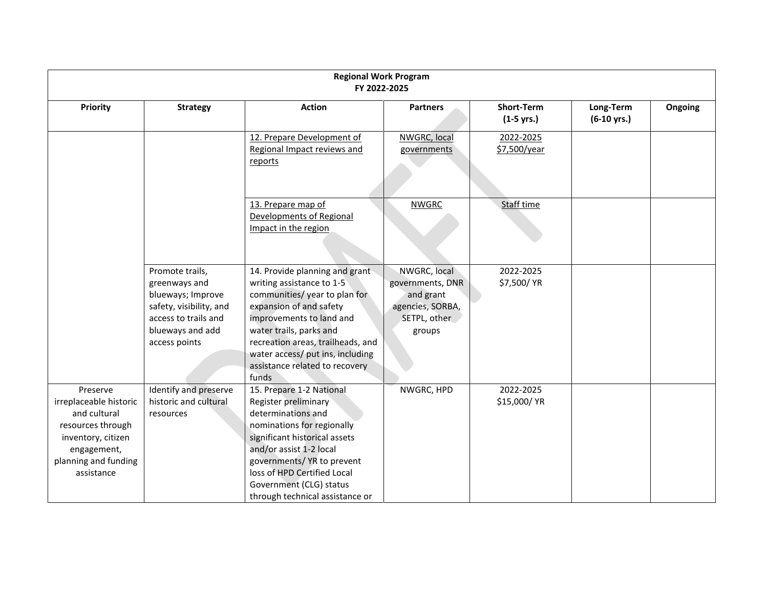| <b>Regional Work Program</b><br>FY 2022-2025                                                                                                       |                                                                                                                                               |                                                                                                                                                                                                                                                                                                   |                                                                                             |                                           |                                    |         |  |
|----------------------------------------------------------------------------------------------------------------------------------------------------|-----------------------------------------------------------------------------------------------------------------------------------------------|---------------------------------------------------------------------------------------------------------------------------------------------------------------------------------------------------------------------------------------------------------------------------------------------------|---------------------------------------------------------------------------------------------|-------------------------------------------|------------------------------------|---------|--|
| Priority                                                                                                                                           | <b>Strategy</b>                                                                                                                               | <b>Action</b>                                                                                                                                                                                                                                                                                     | <b>Partners</b>                                                                             | <b>Short-Term</b><br>$(1-5 \text{ yrs.})$ | Long-Term<br>$(6-10 \text{ yrs.})$ | Ongoing |  |
|                                                                                                                                                    |                                                                                                                                               | 12. Prepare Development of<br>Regional Impact reviews and<br>reports                                                                                                                                                                                                                              | NWGRC, local<br>governments                                                                 | 2022-2025<br>\$7,500/year                 |                                    |         |  |
|                                                                                                                                                    |                                                                                                                                               | 13. Prepare map of<br>Developments of Regional<br>Impact in the region                                                                                                                                                                                                                            | <b>NWGRC</b>                                                                                | <b>Staff time</b>                         |                                    |         |  |
|                                                                                                                                                    | Promote trails,<br>greenways and<br>blueways; Improve<br>safety, visibility, and<br>access to trails and<br>blueways and add<br>access points | 14. Provide planning and grant<br>writing assistance to 1-5<br>communities/year to plan for<br>expansion of and safety<br>improvements to land and<br>water trails, parks and<br>recreation areas, trailheads, and<br>water access/ put ins, including<br>assistance related to recovery<br>funds | NWGRC, local<br>governments, DNR<br>and grant<br>agencies, SORBA,<br>SETPL, other<br>groups | 2022-2025<br>\$7,500/ YR                  |                                    |         |  |
| Preserve<br>irreplaceable historic<br>and cultural<br>resources through<br>inventory, citizen<br>engagement,<br>planning and funding<br>assistance | Identify and preserve<br>historic and cultural<br>resources                                                                                   | 15. Prepare 1-2 National<br>Register preliminary<br>determinations and<br>nominations for regionally<br>significant historical assets<br>and/or assist 1-2 local<br>governments/YR to prevent<br>loss of HPD Certified Local<br>Government (CLG) status<br>through technical assistance or        | NWGRC, HPD                                                                                  | 2022-2025<br>\$15,000/ YR                 |                                    |         |  |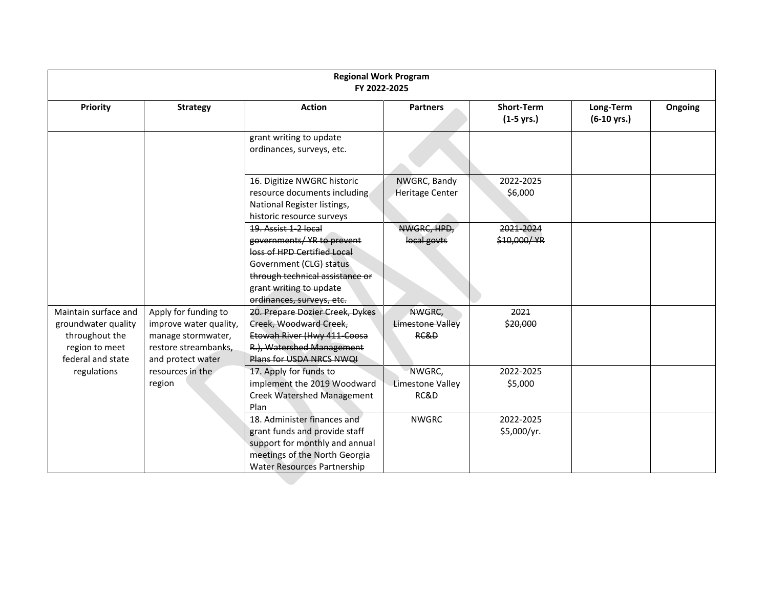|                                                                                                      | <b>Regional Work Program</b><br>FY 2022-2025                                                                      |                                                                                                                                                                                                         |                                        |                                   |                                    |         |  |
|------------------------------------------------------------------------------------------------------|-------------------------------------------------------------------------------------------------------------------|---------------------------------------------------------------------------------------------------------------------------------------------------------------------------------------------------------|----------------------------------------|-----------------------------------|------------------------------------|---------|--|
| Priority                                                                                             | <b>Strategy</b>                                                                                                   | <b>Action</b>                                                                                                                                                                                           | <b>Partners</b>                        | <b>Short-Term</b><br>$(1-5$ yrs.) | Long-Term<br>$(6-10 \text{ yrs.})$ | Ongoing |  |
|                                                                                                      |                                                                                                                   | grant writing to update<br>ordinances, surveys, etc.                                                                                                                                                    |                                        |                                   |                                    |         |  |
|                                                                                                      |                                                                                                                   | 16. Digitize NWGRC historic<br>resource documents including<br>National Register listings,<br>historic resource surveys                                                                                 | NWGRC, Bandy<br><b>Heritage Center</b> | 2022-2025<br>\$6,000              |                                    |         |  |
|                                                                                                      |                                                                                                                   | 19. Assist 1-2 local<br>governments/ YR to prevent<br>loss of HPD Certified Local<br>Government (CLG) status<br>through technical assistance or<br>grant writing to update<br>ordinances, surveys, etc. | NWGRC, HPD,<br>local govts             | 2021-2024<br>\$10,000/YR          |                                    |         |  |
| Maintain surface and<br>groundwater quality<br>throughout the<br>region to meet<br>federal and state | Apply for funding to<br>improve water quality,<br>manage stormwater,<br>restore streambanks,<br>and protect water | 20. Prepare Dozier Creek, Dykes<br>Creek, Woodward Creek,<br>Etowah River (Hwy 411-Coosa<br>R.), Watershed Management<br>Plans for USDA NRCS NWQI                                                       | NWGRC,<br>Limestone Valley<br>RC&D     | 2021<br>\$20,000                  |                                    |         |  |
| regulations                                                                                          | resources in the<br>region                                                                                        | 17. Apply for funds to<br>implement the 2019 Woodward<br><b>Creek Watershed Management</b><br>Plan                                                                                                      | NWGRC,<br>Limestone Valley<br>RC&D     | 2022-2025<br>\$5,000              |                                    |         |  |
|                                                                                                      |                                                                                                                   | 18. Administer finances and<br>grant funds and provide staff<br>support for monthly and annual<br>meetings of the North Georgia<br><b>Water Resources Partnership</b>                                   | <b>NWGRC</b>                           | 2022-2025<br>\$5,000/yr.          |                                    |         |  |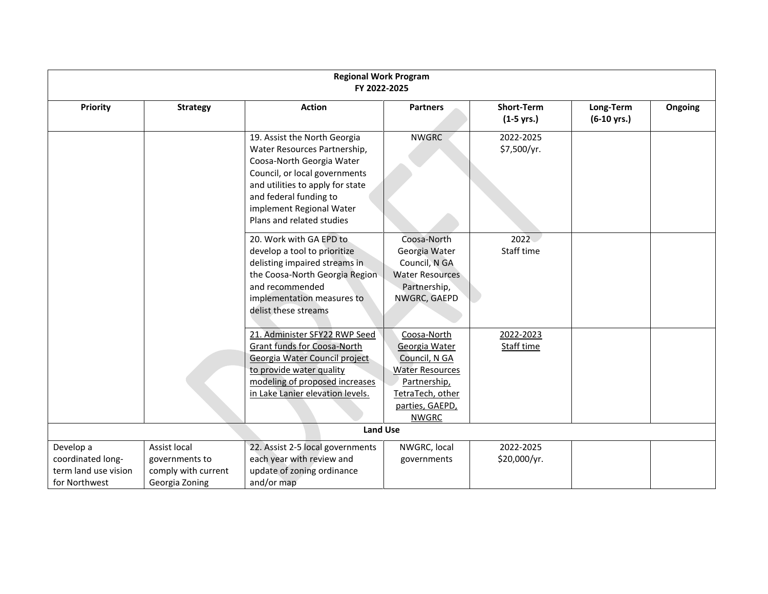|                                                                         | <b>Regional Work Program</b><br>FY 2022-2025                            |                                                                                                                                                                                                                                                   |                                                                                                                                                |                                   |                                    |         |  |  |
|-------------------------------------------------------------------------|-------------------------------------------------------------------------|---------------------------------------------------------------------------------------------------------------------------------------------------------------------------------------------------------------------------------------------------|------------------------------------------------------------------------------------------------------------------------------------------------|-----------------------------------|------------------------------------|---------|--|--|
| Priority                                                                | <b>Strategy</b>                                                         | <b>Action</b>                                                                                                                                                                                                                                     | <b>Partners</b>                                                                                                                                | <b>Short-Term</b><br>$(1-5$ yrs.) | Long-Term<br>$(6-10 \text{ yrs.})$ | Ongoing |  |  |
|                                                                         |                                                                         | 19. Assist the North Georgia<br>Water Resources Partnership,<br>Coosa-North Georgia Water<br>Council, or local governments<br>and utilities to apply for state<br>and federal funding to<br>implement Regional Water<br>Plans and related studies | <b>NWGRC</b>                                                                                                                                   | 2022-2025<br>\$7,500/yr.          |                                    |         |  |  |
|                                                                         |                                                                         | 20. Work with GA EPD to<br>develop a tool to prioritize<br>delisting impaired streams in<br>the Coosa-North Georgia Region<br>and recommended<br>implementation measures to<br>delist these streams                                               | Coosa-North<br>Georgia Water<br>Council, N GA<br><b>Water Resources</b><br>Partnership,<br>NWGRC, GAEPD                                        | 2022<br>Staff time                |                                    |         |  |  |
|                                                                         |                                                                         | 21. Administer SFY22 RWP Seed<br>Grant funds for Coosa-North<br>Georgia Water Council project<br>to provide water quality<br>modeling of proposed increases<br>in Lake Lanier elevation levels.                                                   | Coosa-North<br>Georgia Water<br>Council, N GA<br><b>Water Resources</b><br>Partnership,<br>TetraTech, other<br>parties, GAEPD,<br><b>NWGRC</b> | 2022-2023<br>Staff time           |                                    |         |  |  |
|                                                                         |                                                                         | <b>Land Use</b>                                                                                                                                                                                                                                   |                                                                                                                                                |                                   |                                    |         |  |  |
| Develop a<br>coordinated long-<br>term land use vision<br>for Northwest | Assist local<br>governments to<br>comply with current<br>Georgia Zoning | 22. Assist 2-5 local governments<br>each year with review and<br>update of zoning ordinance<br>and/or map                                                                                                                                         | NWGRC, local<br>governments                                                                                                                    | 2022-2025<br>\$20,000/yr.         |                                    |         |  |  |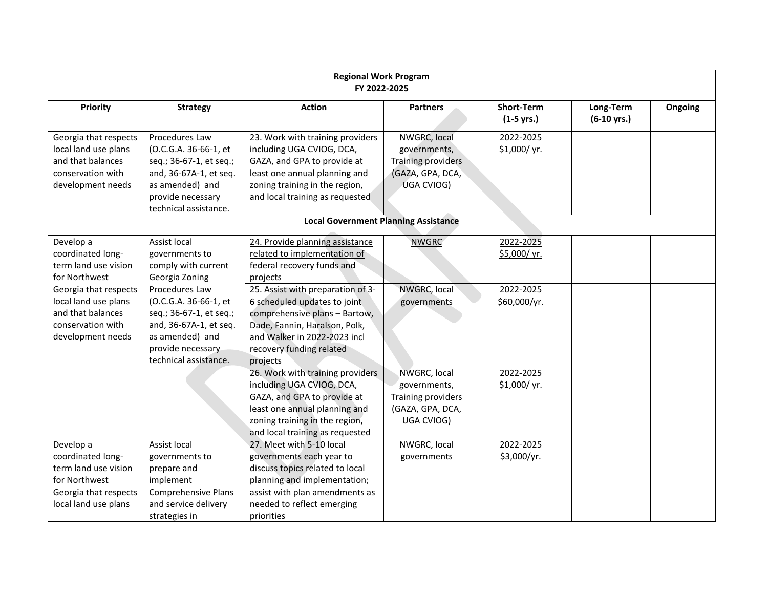| <b>Regional Work Program</b><br>FY 2022-2025                                                                             |                                                                                                                                                               |                                                                                                                                                                                                             |                                                                                             |                                           |                                    |         |
|--------------------------------------------------------------------------------------------------------------------------|---------------------------------------------------------------------------------------------------------------------------------------------------------------|-------------------------------------------------------------------------------------------------------------------------------------------------------------------------------------------------------------|---------------------------------------------------------------------------------------------|-------------------------------------------|------------------------------------|---------|
| Priority                                                                                                                 | <b>Strategy</b>                                                                                                                                               | <b>Action</b>                                                                                                                                                                                               | <b>Partners</b>                                                                             | <b>Short-Term</b><br>$(1-5 \text{ yrs.})$ | Long-Term<br>$(6-10 \text{ yrs.})$ | Ongoing |
| Georgia that respects<br>local land use plans<br>and that balances<br>conservation with<br>development needs             | Procedures Law<br>(O.C.G.A. 36-66-1, et<br>seq.; 36-67-1, et seq.;<br>and, 36-67A-1, et seq.<br>as amended) and<br>provide necessary<br>technical assistance. | 23. Work with training providers<br>including UGA CVIOG, DCA,<br>GAZA, and GPA to provide at<br>least one annual planning and<br>zoning training in the region,<br>and local training as requested          | NWGRC, local<br>governments,<br><b>Training providers</b><br>(GAZA, GPA, DCA,<br>UGA CVIOG) | 2022-2025<br>\$1,000/yr.                  |                                    |         |
|                                                                                                                          |                                                                                                                                                               | <b>Local Government Planning Assistance</b>                                                                                                                                                                 |                                                                                             |                                           |                                    |         |
| Develop a<br>coordinated long-<br>term land use vision<br>for Northwest                                                  | Assist local<br>governments to<br>comply with current<br>Georgia Zoning                                                                                       | 24. Provide planning assistance<br>related to implementation of<br>federal recovery funds and<br>projects                                                                                                   | <b>NWGRC</b>                                                                                | 2022-2025<br>\$5,000/yr.                  |                                    |         |
| Georgia that respects<br>local land use plans<br>and that balances<br>conservation with<br>development needs             | Procedures Law<br>(O.C.G.A. 36-66-1, et<br>seq.; 36-67-1, et seq.;<br>and, 36-67A-1, et seq.<br>as amended) and<br>provide necessary<br>technical assistance. | 25. Assist with preparation of 3-<br>6 scheduled updates to joint<br>comprehensive plans - Bartow,<br>Dade, Fannin, Haralson, Polk,<br>and Walker in 2022-2023 incl<br>recovery funding related<br>projects | NWGRC, local<br>governments                                                                 | 2022-2025<br>\$60,000/yr.                 |                                    |         |
|                                                                                                                          |                                                                                                                                                               | 26. Work with training providers<br>including UGA CVIOG, DCA,<br>GAZA, and GPA to provide at<br>least one annual planning and<br>zoning training in the region,<br>and local training as requested          | NWGRC, local<br>governments,<br><b>Training providers</b><br>(GAZA, GPA, DCA,<br>UGA CVIOG) | 2022-2025<br>\$1,000/ yr.                 |                                    |         |
| Develop a<br>coordinated long-<br>term land use vision<br>for Northwest<br>Georgia that respects<br>local land use plans | Assist local<br>governments to<br>prepare and<br>implement<br><b>Comprehensive Plans</b><br>and service delivery<br>strategies in                             | 27. Meet with 5-10 local<br>governments each year to<br>discuss topics related to local<br>planning and implementation;<br>assist with plan amendments as<br>needed to reflect emerging<br>priorities       | NWGRC, local<br>governments                                                                 | 2022-2025<br>\$3,000/yr.                  |                                    |         |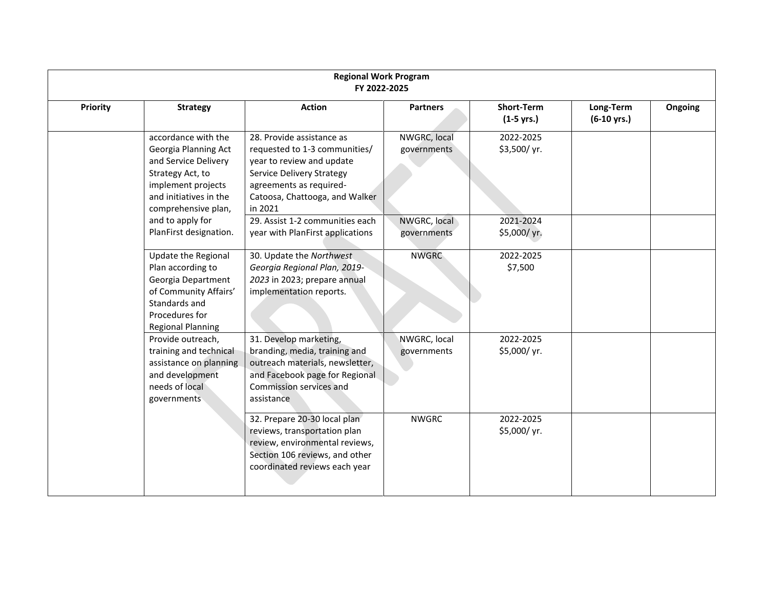|          | <b>Regional Work Program</b><br>FY 2022-2025                                                                                                                   |                                                                                                                                                                                                     |                             |                                           |                                    |         |  |  |
|----------|----------------------------------------------------------------------------------------------------------------------------------------------------------------|-----------------------------------------------------------------------------------------------------------------------------------------------------------------------------------------------------|-----------------------------|-------------------------------------------|------------------------------------|---------|--|--|
| Priority | <b>Strategy</b>                                                                                                                                                | <b>Action</b>                                                                                                                                                                                       | <b>Partners</b>             | <b>Short-Term</b><br>$(1-5 \text{ yrs.})$ | Long-Term<br>$(6-10 \text{ yrs.})$ | Ongoing |  |  |
|          | accordance with the<br>Georgia Planning Act<br>and Service Delivery<br>Strategy Act, to<br>implement projects<br>and initiatives in the<br>comprehensive plan, | 28. Provide assistance as<br>requested to 1-3 communities/<br>year to review and update<br><b>Service Delivery Strategy</b><br>agreements as required-<br>Catoosa, Chattooga, and Walker<br>in 2021 | NWGRC, local<br>governments | 2022-2025<br>\$3,500/yr.                  |                                    |         |  |  |
|          | and to apply for<br>PlanFirst designation.                                                                                                                     | 29. Assist 1-2 communities each<br>year with PlanFirst applications                                                                                                                                 | NWGRC, local<br>governments | 2021-2024<br>\$5,000/yr.                  |                                    |         |  |  |
|          | Update the Regional<br>Plan according to<br>Georgia Department<br>of Community Affairs'<br>Standards and<br>Procedures for<br><b>Regional Planning</b>         | 30. Update the Northwest<br>Georgia Regional Plan, 2019-<br>2023 in 2023; prepare annual<br>implementation reports.                                                                                 | <b>NWGRC</b>                | 2022-2025<br>\$7,500                      |                                    |         |  |  |
|          | Provide outreach,<br>training and technical<br>assistance on planning<br>and development<br>needs of local<br>governments                                      | 31. Develop marketing,<br>branding, media, training and<br>outreach materials, newsletter,<br>and Facebook page for Regional<br>Commission services and<br>assistance                               | NWGRC, local<br>governments | 2022-2025<br>\$5,000/yr.                  |                                    |         |  |  |
|          |                                                                                                                                                                | 32. Prepare 20-30 local plan<br>reviews, transportation plan<br>review, environmental reviews,<br>Section 106 reviews, and other<br>coordinated reviews each year                                   | <b>NWGRC</b>                | 2022-2025<br>\$5,000/yr.                  |                                    |         |  |  |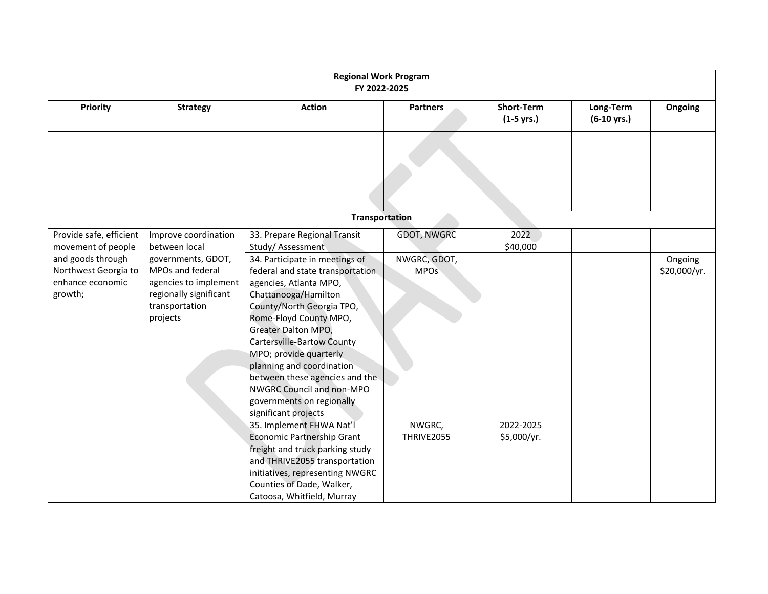|                                                                          |                                                                                                                         | <b>Regional Work Program</b><br>FY 2022-2025                                                                                                                                                                                                                                                                                                                                                                |                             |                                   |                                    |                         |
|--------------------------------------------------------------------------|-------------------------------------------------------------------------------------------------------------------------|-------------------------------------------------------------------------------------------------------------------------------------------------------------------------------------------------------------------------------------------------------------------------------------------------------------------------------------------------------------------------------------------------------------|-----------------------------|-----------------------------------|------------------------------------|-------------------------|
| Priority                                                                 | <b>Strategy</b>                                                                                                         | <b>Action</b>                                                                                                                                                                                                                                                                                                                                                                                               | <b>Partners</b>             | <b>Short-Term</b><br>$(1-5$ yrs.) | Long-Term<br>$(6-10 \text{ yrs.})$ | Ongoing                 |
|                                                                          |                                                                                                                         |                                                                                                                                                                                                                                                                                                                                                                                                             |                             |                                   |                                    |                         |
|                                                                          |                                                                                                                         | <b>Transportation</b>                                                                                                                                                                                                                                                                                                                                                                                       |                             |                                   |                                    |                         |
| Provide safe, efficient<br>movement of people                            | Improve coordination<br>between local                                                                                   | 33. Prepare Regional Transit<br>Study/Assessment                                                                                                                                                                                                                                                                                                                                                            | <b>GDOT, NWGRC</b>          | 2022<br>\$40,000                  |                                    |                         |
| and goods through<br>Northwest Georgia to<br>enhance economic<br>growth; | governments, GDOT,<br>MPOs and federal<br>agencies to implement<br>regionally significant<br>transportation<br>projects | 34. Participate in meetings of<br>federal and state transportation<br>agencies, Atlanta MPO,<br>Chattanooga/Hamilton<br>County/North Georgia TPO,<br>Rome-Floyd County MPO,<br>Greater Dalton MPO,<br>Cartersville-Bartow County<br>MPO; provide quarterly<br>planning and coordination<br>between these agencies and the<br>NWGRC Council and non-MPO<br>governments on regionally<br>significant projects | NWGRC, GDOT,<br><b>MPOs</b> |                                   |                                    | Ongoing<br>\$20,000/yr. |
|                                                                          |                                                                                                                         | 35. Implement FHWA Nat'l<br>Economic Partnership Grant<br>freight and truck parking study<br>and THRIVE2055 transportation<br>initiatives, representing NWGRC<br>Counties of Dade, Walker,<br>Catoosa, Whitfield, Murray                                                                                                                                                                                    | NWGRC,<br>THRIVE2055        | 2022-2025<br>\$5,000/yr.          |                                    |                         |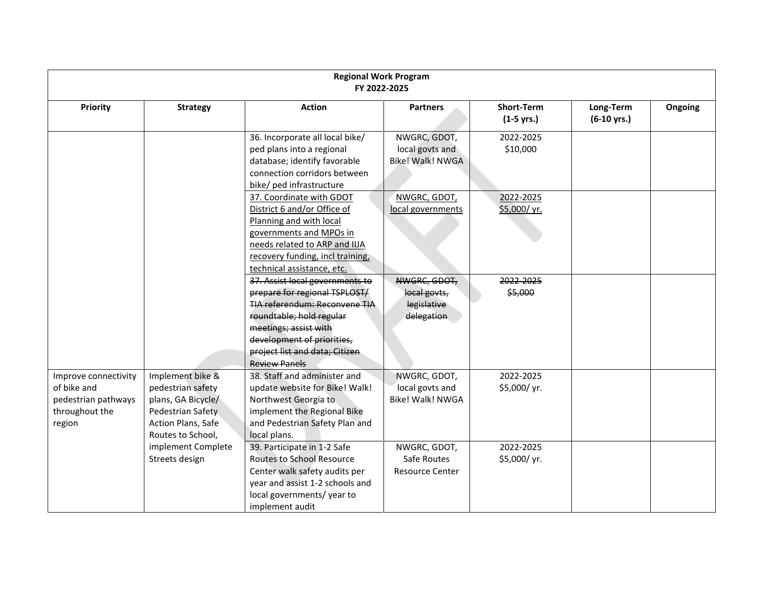| <b>Regional Work Program</b><br>FY 2022-2025                                           |                                                                                                                             |                                                                                                                                                                                                                                                       |                                                            |                                           |                                    |         |  |
|----------------------------------------------------------------------------------------|-----------------------------------------------------------------------------------------------------------------------------|-------------------------------------------------------------------------------------------------------------------------------------------------------------------------------------------------------------------------------------------------------|------------------------------------------------------------|-------------------------------------------|------------------------------------|---------|--|
| Priority                                                                               | <b>Strategy</b>                                                                                                             | <b>Action</b>                                                                                                                                                                                                                                         | <b>Partners</b>                                            | <b>Short-Term</b><br>$(1-5 \text{ yrs.})$ | Long-Term<br>$(6-10 \text{ yrs.})$ | Ongoing |  |
|                                                                                        |                                                                                                                             | 36. Incorporate all local bike/<br>ped plans into a regional<br>database; identify favorable<br>connection corridors between<br>bike/ ped infrastructure                                                                                              | NWGRC, GDOT,<br>local govts and<br><b>Bike! Walk! NWGA</b> | 2022-2025<br>\$10,000                     |                                    |         |  |
|                                                                                        |                                                                                                                             | 37. Coordinate with GDOT<br>District 6 and/or Office of<br>Planning and with local<br>governments and MPOs in<br>needs related to ARP and IIJA<br>recovery funding, incl training,<br>technical assistance, etc.                                      | NWGRC, GDOT,<br>local governments                          | 2022-2025<br>\$5,000/yr.                  |                                    |         |  |
|                                                                                        |                                                                                                                             | 37. Assist local governments to<br>prepare for regional TSPLOST/<br><b>TIA referendum: Reconvene TIA</b><br>roundtable; hold regular<br>meetings; assist with<br>development of priorities,<br>project list and data; Citizen<br><b>Review Panels</b> | NWGRC, GDOT,<br>local govts,<br>legislative<br>delegation  | 2022-2025<br>\$5,000                      |                                    |         |  |
| Improve connectivity<br>of bike and<br>pedestrian pathways<br>throughout the<br>region | Implement bike &<br>pedestrian safety<br>plans, GA Bicycle/<br>Pedestrian Safety<br>Action Plans, Safe<br>Routes to School, | 38. Staff and administer and<br>update website for Bike! Walk!<br>Northwest Georgia to<br>implement the Regional Bike<br>and Pedestrian Safety Plan and<br>local plans.                                                                               | NWGRC, GDOT,<br>local govts and<br>Bike! Walk! NWGA        | 2022-2025<br>\$5,000/yr.                  |                                    |         |  |
|                                                                                        | implement Complete<br>Streets design                                                                                        | 39. Participate in 1-2 Safe<br><b>Routes to School Resource</b><br>Center walk safety audits per<br>year and assist 1-2 schools and<br>local governments/year to<br>implement audit                                                                   | NWGRC, GDOT,<br>Safe Routes<br><b>Resource Center</b>      | 2022-2025<br>\$5,000/yr.                  |                                    |         |  |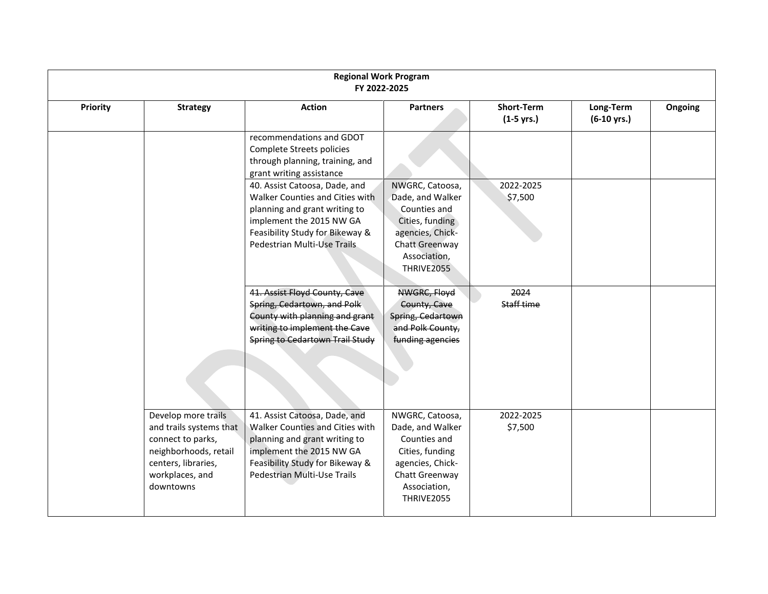| <b>Regional Work Program</b><br>FY 2022-2025 |                                                                                                                                                     |                                                                                                                                                                                                 |                                                                                                                                            |                                   |                                    |         |  |
|----------------------------------------------|-----------------------------------------------------------------------------------------------------------------------------------------------------|-------------------------------------------------------------------------------------------------------------------------------------------------------------------------------------------------|--------------------------------------------------------------------------------------------------------------------------------------------|-----------------------------------|------------------------------------|---------|--|
| <b>Priority</b>                              | <b>Strategy</b>                                                                                                                                     | <b>Action</b>                                                                                                                                                                                   | <b>Partners</b>                                                                                                                            | <b>Short-Term</b><br>$(1-5$ yrs.) | Long-Term<br>$(6-10 \text{ yrs.})$ | Ongoing |  |
|                                              |                                                                                                                                                     | recommendations and GDOT<br>Complete Streets policies<br>through planning, training, and<br>grant writing assistance                                                                            |                                                                                                                                            |                                   |                                    |         |  |
|                                              |                                                                                                                                                     | 40. Assist Catoosa, Dade, and<br>Walker Counties and Cities with<br>planning and grant writing to<br>implement the 2015 NW GA<br>Feasibility Study for Bikeway &<br>Pedestrian Multi-Use Trails | NWGRC, Catoosa,<br>Dade, and Walker<br>Counties and<br>Cities, funding<br>agencies, Chick-<br>Chatt Greenway<br>Association,<br>THRIVE2055 | 2022-2025<br>\$7,500              |                                    |         |  |
|                                              |                                                                                                                                                     | 41. Assist Floyd County, Cave<br>Spring, Cedartown, and Polk<br>County with planning and grant<br>writing to implement the Cave<br><b>Spring to Cedartown Trail Study</b>                       | NWGRC, Floyd<br>County, Cave<br>Spring, Cedartown<br>and Polk County,<br>funding agencies                                                  | 2024<br>Staff time                |                                    |         |  |
|                                              | Develop more trails<br>and trails systems that<br>connect to parks,<br>neighborhoods, retail<br>centers, libraries,<br>workplaces, and<br>downtowns | 41. Assist Catoosa, Dade, and<br>Walker Counties and Cities with<br>planning and grant writing to<br>implement the 2015 NW GA<br>Feasibility Study for Bikeway &<br>Pedestrian Multi-Use Trails | NWGRC, Catoosa,<br>Dade, and Walker<br>Counties and<br>Cities, funding<br>agencies, Chick-<br>Chatt Greenway<br>Association,<br>THRIVE2055 | 2022-2025<br>\$7,500              |                                    |         |  |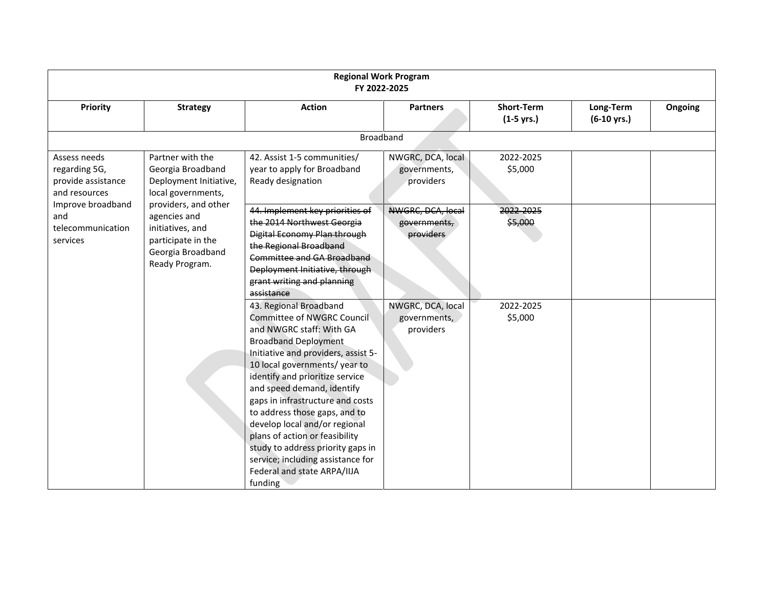| <b>Regional Work Program</b><br>FY 2022-2025                                                                                      |                                                                                                                                                                                                                |                                                                                                                                                                                                                                                                                                                                                                                                                                                                                                                      |                                                |                                           |                                    |         |  |
|-----------------------------------------------------------------------------------------------------------------------------------|----------------------------------------------------------------------------------------------------------------------------------------------------------------------------------------------------------------|----------------------------------------------------------------------------------------------------------------------------------------------------------------------------------------------------------------------------------------------------------------------------------------------------------------------------------------------------------------------------------------------------------------------------------------------------------------------------------------------------------------------|------------------------------------------------|-------------------------------------------|------------------------------------|---------|--|
| <b>Priority</b>                                                                                                                   | <b>Strategy</b>                                                                                                                                                                                                | <b>Action</b>                                                                                                                                                                                                                                                                                                                                                                                                                                                                                                        | <b>Partners</b>                                | <b>Short-Term</b><br>$(1-5 \text{ yrs.})$ | Long-Term<br>$(6-10 \text{ yrs.})$ | Ongoing |  |
| <b>Broadband</b>                                                                                                                  |                                                                                                                                                                                                                |                                                                                                                                                                                                                                                                                                                                                                                                                                                                                                                      |                                                |                                           |                                    |         |  |
| Assess needs<br>regarding 5G,<br>provide assistance<br>and resources<br>Improve broadband<br>and<br>telecommunication<br>services | Partner with the<br>Georgia Broadband<br>Deployment Initiative,<br>local governments,<br>providers, and other<br>agencies and<br>initiatives, and<br>participate in the<br>Georgia Broadband<br>Ready Program. | 42. Assist 1-5 communities/<br>year to apply for Broadband<br>Ready designation                                                                                                                                                                                                                                                                                                                                                                                                                                      | NWGRC, DCA, local<br>governments,<br>providers | 2022-2025<br>\$5,000                      |                                    |         |  |
|                                                                                                                                   |                                                                                                                                                                                                                | 44. Implement key priorities of<br>the 2014 Northwest Georgia<br>Digital Economy Plan through<br>the Regional Broadband<br>Committee and GA Broadband<br>Deployment Initiative, through<br>grant writing and planning<br>assistance                                                                                                                                                                                                                                                                                  | NWGRC, DCA, local<br>governments,<br>providers | 2022-2025<br>\$5,000                      |                                    |         |  |
|                                                                                                                                   |                                                                                                                                                                                                                | 43. Regional Broadband<br>Committee of NWGRC Council<br>and NWGRC staff: With GA<br><b>Broadband Deployment</b><br>Initiative and providers, assist 5-<br>10 local governments/ year to<br>identify and prioritize service<br>and speed demand, identify<br>gaps in infrastructure and costs<br>to address those gaps, and to<br>develop local and/or regional<br>plans of action or feasibility<br>study to address priority gaps in<br>service; including assistance for<br>Federal and state ARPA/IIJA<br>funding | NWGRC, DCA, local<br>governments,<br>providers | 2022-2025<br>\$5,000                      |                                    |         |  |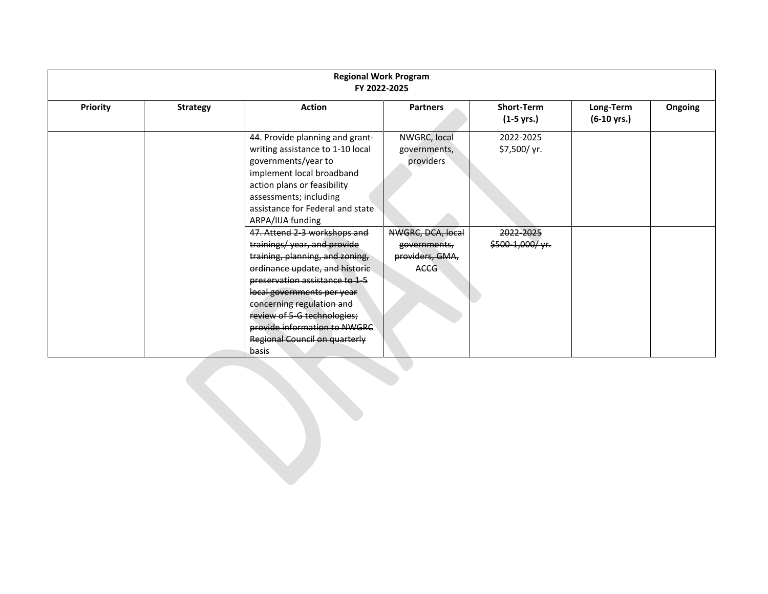| <b>Regional Work Program</b><br>FY 2022-2025 |                 |                                                                                                                                                                                                                                                                                                                                               |                                                              |                                           |                                    |         |  |
|----------------------------------------------|-----------------|-----------------------------------------------------------------------------------------------------------------------------------------------------------------------------------------------------------------------------------------------------------------------------------------------------------------------------------------------|--------------------------------------------------------------|-------------------------------------------|------------------------------------|---------|--|
| <b>Priority</b>                              | <b>Strategy</b> | <b>Action</b>                                                                                                                                                                                                                                                                                                                                 | <b>Partners</b>                                              | <b>Short-Term</b><br>$(1-5 \text{ yrs.})$ | Long-Term<br>$(6-10 \text{ yrs.})$ | Ongoing |  |
|                                              |                 | 44. Provide planning and grant-<br>writing assistance to 1-10 local<br>governments/year to<br>implement local broadband<br>action plans or feasibility<br>assessments; including<br>assistance for Federal and state<br>ARPA/IIJA funding                                                                                                     | NWGRC, local<br>governments,<br>providers                    | 2022-2025<br>\$7,500/ yr.                 |                                    |         |  |
|                                              |                 | 47. Attend 2-3 workshops and<br>trainings/year, and provide<br>training, planning, and zoning,<br>ordinance update, and historic<br>preservation assistance to 1-5<br>local governments per year<br>concerning regulation and<br>review of 5-G technologies;<br>provide information to NWGRC<br>Regional Council on quarterly<br><b>basis</b> | NWGRC, DCA, local<br>governments,<br>providers, GMA,<br>ACCG | 2022-2025<br>$$500-1,000/$ yr.            |                                    |         |  |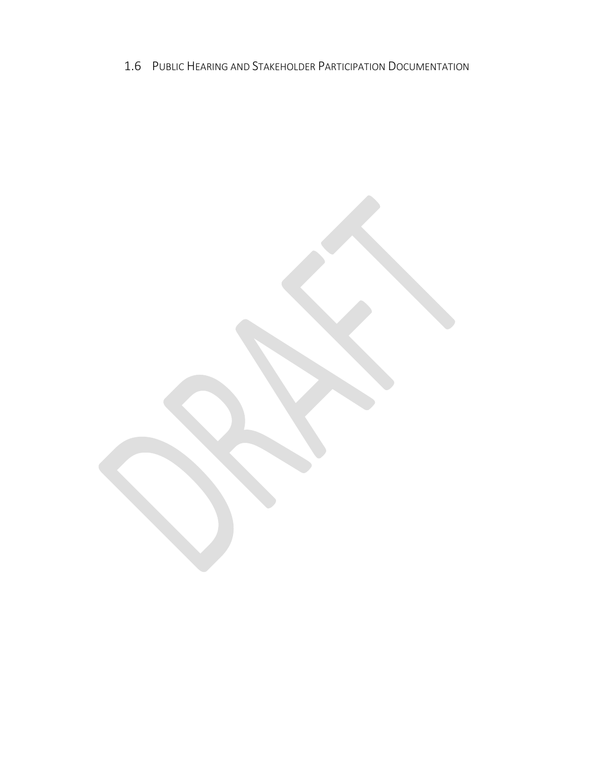<span id="page-30-0"></span>1.6 PUBLIC HEARING AND STAKEHOLDER PARTICIPATION DOCUMENTATION